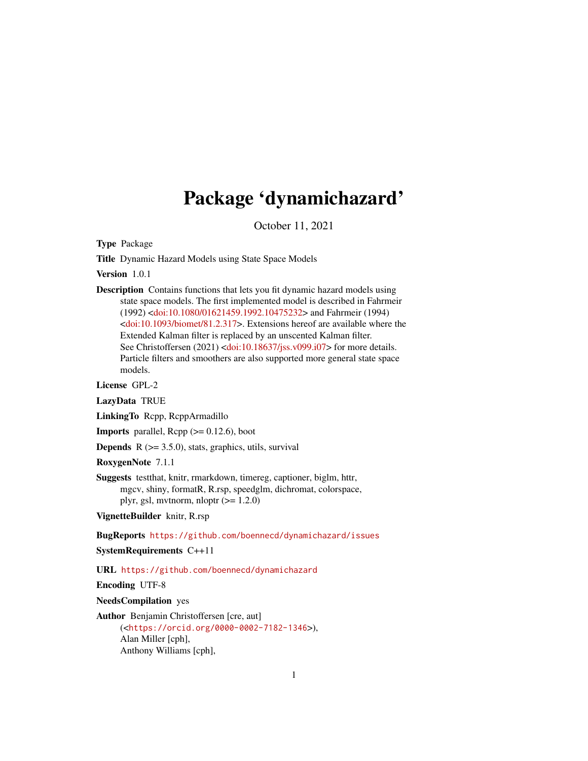## Package 'dynamichazard'

October 11, 2021

<span id="page-0-0"></span>Type Package

Title Dynamic Hazard Models using State Space Models

Version 1.0.1

Description Contains functions that lets you fit dynamic hazard models using state space models. The first implemented model is described in Fahrmeir (1992) [<doi:10.1080/01621459.1992.10475232>](https://doi.org/10.1080/01621459.1992.10475232) and Fahrmeir (1994) [<doi:10.1093/biomet/81.2.317>](https://doi.org/10.1093/biomet/81.2.317). Extensions hereof are available where the Extended Kalman filter is replaced by an unscented Kalman filter. See Christoffersen (2021) [<doi:10.18637/jss.v099.i07>](https://doi.org/10.18637/jss.v099.i07) for more details. Particle filters and smoothers are also supported more general state space models.

License GPL-2

LazyData TRUE

LinkingTo Rcpp, RcppArmadillo

**Imports** parallel,  $\text{Rcpp}$  ( $\geq 0.12.6$ ), boot

**Depends**  $R$  ( $>= 3.5.0$ ), stats, graphics, utils, survival

RoxygenNote 7.1.1

Suggests testthat, knitr, rmarkdown, timereg, captioner, biglm, httr, mgcv, shiny, formatR, R.rsp, speedglm, dichromat, colorspace, plyr, gsl, mvtnorm, nloptr  $(>= 1.2.0)$ 

VignetteBuilder knitr, R.rsp

BugReports <https://github.com/boennecd/dynamichazard/issues>

SystemRequirements C++11

URL <https://github.com/boennecd/dynamichazard>

Encoding UTF-8

NeedsCompilation yes

Author Benjamin Christoffersen [cre, aut] (<<https://orcid.org/0000-0002-7182-1346>>), Alan Miller [cph],

Anthony Williams [cph],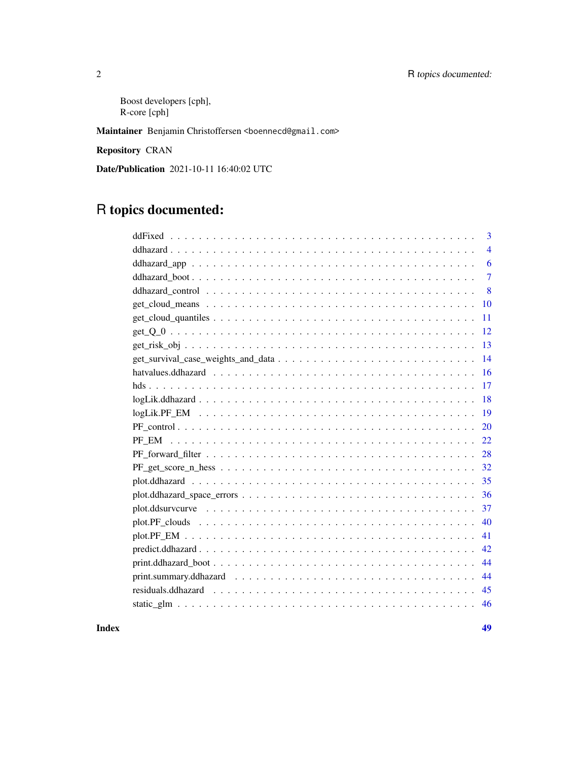### 2 R topics documented:

Boost developers [cph], R-core [cph]

Maintainer Benjamin Christoffersen <br/>boennecd@gmail.com>

Repository CRAN

Date/Publication 2021-10-11 16:40:02 UTC

## R topics documented:

| 3              |
|----------------|
| $\overline{4}$ |
| 6              |
| $\overline{7}$ |
| 8              |
| 10             |
| 11             |
| 12             |
| 13             |
| 14             |
| 16             |
| 17             |
| 18             |
| 19             |
| 20             |
| 22             |
| 28             |
| 32             |
| 35             |
| 36             |
| 37             |
| 40             |
| 41             |
| 42             |
| 44             |
| 44             |
| 45             |
| 46             |
|                |

#### **Index a** set of the contract of the contract of the contract of the contract of the contract of the contract of the contract of the contract of the contract of the contract of the contract of the contract of the contrac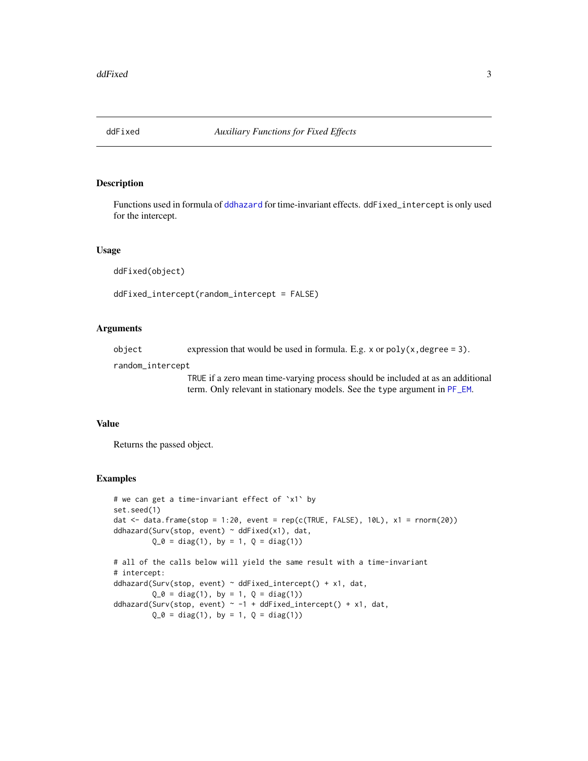<span id="page-2-1"></span><span id="page-2-0"></span>

#### Description

Functions used in formula of [ddhazard](#page-3-1) for time-invariant effects. ddFixed\_intercept is only used for the intercept.

#### Usage

ddFixed(object)

ddFixed\_intercept(random\_intercept = FALSE)

#### Arguments

object expression that would be used in formula. E.g. x or  $poly(x, \text{degree} = 3)$ .

random\_intercept

TRUE if a zero mean time-varying process should be included at as an additional term. Only relevant in stationary models. See the type argument in [PF\\_EM](#page-21-1).

#### Value

Returns the passed object.

#### Examples

```
# we can get a time-invariant effect of `x1` by
set.seed(1)
dat \le data.frame(stop = 1:20, event = rep(c(TRUE, FALSE), 10L), x1 = rnorm(20))
ddhazard(Surv(stop, event) \sim ddFixed(x1), dat,
        Q_0 = diag(1), by = 1, Q = diag(1)# all of the calls below will yield the same result with a time-invariant
# intercept:
ddhazard(Surv(stop, event) ~ ddFixed_intercept() + x1, dat,
         Q_0 = diag(1), by = 1, Q = diag(1)ddhazard(Surv(stop, event) \sim -1 + ddFixed_intercept() + x1, dat,
        Q_0 = diag(1), by = 1, Q = diag(1)
```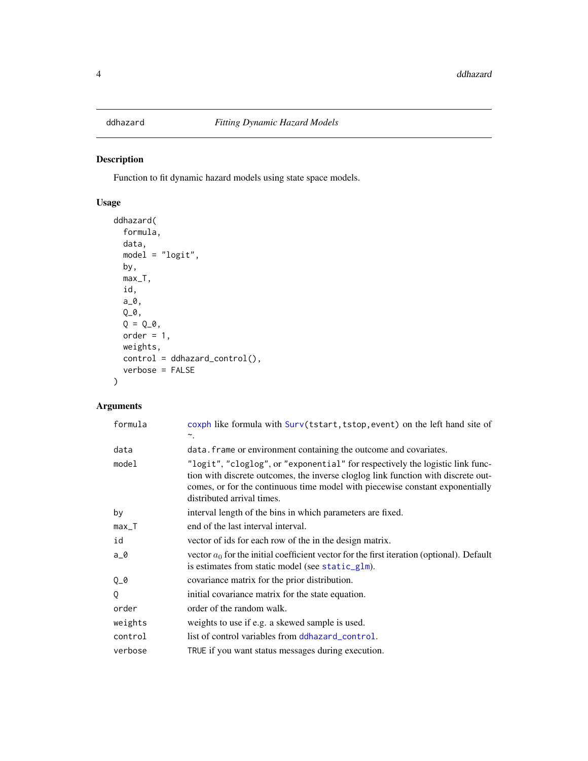<span id="page-3-1"></span><span id="page-3-0"></span>

### Description

Function to fit dynamic hazard models using state space models.

### Usage

```
ddhazard(
 formula,
 data,
 model = "logit",
 by,
 max_T,
  id,
 a_0,
 Q_0,
 Q = Q_0,
 order = 1,
 weights,
 control = ddhazard_control(),
  verbose = FALSE
\mathcal{L}
```

| formula | coxph like formula with Surv(tstart, tstop, event) on the left hand site of<br>$\sim$ .                                                                                                                                                                                           |
|---------|-----------------------------------------------------------------------------------------------------------------------------------------------------------------------------------------------------------------------------------------------------------------------------------|
| data    | data. frame or environment containing the outcome and covariates.                                                                                                                                                                                                                 |
| model   | "logit", "cloglog", or "exponential" for respectively the logistic link func-<br>tion with discrete outcomes, the inverse cloglog link function with discrete out-<br>comes, or for the continuous time model with piecewise constant exponentially<br>distributed arrival times. |
| by      | interval length of the bins in which parameters are fixed.                                                                                                                                                                                                                        |
| $max_T$ | end of the last interval interval.                                                                                                                                                                                                                                                |
| id      | vector of ids for each row of the in the design matrix.                                                                                                                                                                                                                           |
| $a_0$   | vector $a_0$ for the initial coefficient vector for the first iteration (optional). Default<br>is estimates from static model (see static_glm).                                                                                                                                   |
| Q_0     | covariance matrix for the prior distribution.                                                                                                                                                                                                                                     |
| Q       | initial covariance matrix for the state equation.                                                                                                                                                                                                                                 |
| order   | order of the random walk.                                                                                                                                                                                                                                                         |
| weights | weights to use if e.g. a skewed sample is used.                                                                                                                                                                                                                                   |
| control | list of control variables from ddhazard_control.                                                                                                                                                                                                                                  |
| verbose | TRUE if you want status messages during execution.                                                                                                                                                                                                                                |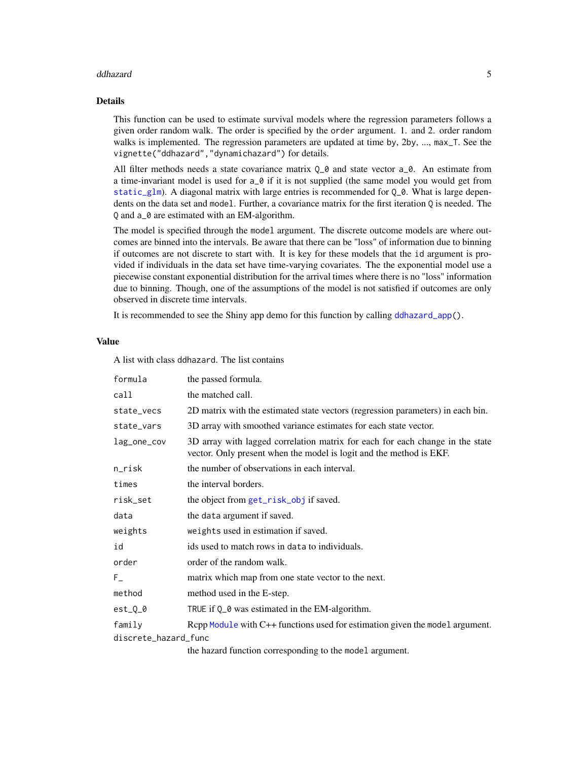#### <span id="page-4-0"></span>ddhazard 50 September 2008 a 1990 a 1991 a 1992 a 1993 a 1999 a 1999 a 1999 a 1999 a 1999 a 1999 a 1999 a 199

#### Details

This function can be used to estimate survival models where the regression parameters follows a given order random walk. The order is specified by the order argument. 1. and 2. order random walks is implemented. The regression parameters are updated at time by, 2by, ..., max\_T. See the vignette("ddhazard","dynamichazard") for details.

All filter methods needs a state covariance matrix  $Q_{\text{-}}$  and state vector  $a_{\text{-}}0$ . An estimate from a time-invariant model is used for  $a_0$  if it is not supplied (the same model you would get from [static\\_glm](#page-45-1)). A diagonal matrix with large entries is recommended for  $Q_0$ . What is large dependents on the data set and model. Further, a covariance matrix for the first iteration Q is needed. The Q and a\_0 are estimated with an EM-algorithm.

The model is specified through the model argument. The discrete outcome models are where outcomes are binned into the intervals. Be aware that there can be "loss" of information due to binning if outcomes are not discrete to start with. It is key for these models that the id argument is provided if individuals in the data set have time-varying covariates. The the exponential model use a piecewise constant exponential distribution for the arrival times where there is no "loss" information due to binning. Though, one of the assumptions of the model is not satisfied if outcomes are only observed in discrete time intervals.

It is recommended to see the Shiny app demo for this function by calling [ddhazard\\_app\(](#page-5-1)).

#### Value

A list with class ddhazard. The list contains

| formula              | the passed formula.                                                                                                                                  |  |
|----------------------|------------------------------------------------------------------------------------------------------------------------------------------------------|--|
| call                 | the matched call.                                                                                                                                    |  |
| state_vecs           | 2D matrix with the estimated state vectors (regression parameters) in each bin.                                                                      |  |
| state_vars           | 3D array with smoothed variance estimates for each state vector.                                                                                     |  |
| lag_one_cov          | 3D array with lagged correlation matrix for each for each change in the state<br>vector. Only present when the model is logit and the method is EKF. |  |
| n_risk               | the number of observations in each interval.                                                                                                         |  |
| times                | the interval borders.                                                                                                                                |  |
| risk_set             | the object from get_risk_obj if saved.                                                                                                               |  |
| data                 | the data argument if saved.                                                                                                                          |  |
| weights              | weights used in estimation if saved.                                                                                                                 |  |
| id                   | ids used to match rows in data to individuals.                                                                                                       |  |
| order                | order of the random walk.                                                                                                                            |  |
| $F_{-}$              | matrix which map from one state vector to the next.                                                                                                  |  |
| method               | method used in the E-step.                                                                                                                           |  |
| $est_Q_0$            | TRUE if Q_0 was estimated in the EM-algorithm.                                                                                                       |  |
| family               | Rcpp Module with C++ functions used for estimation given the model argument.                                                                         |  |
| discrete_hazard_func |                                                                                                                                                      |  |
|                      |                                                                                                                                                      |  |

the hazard function corresponding to the model argument.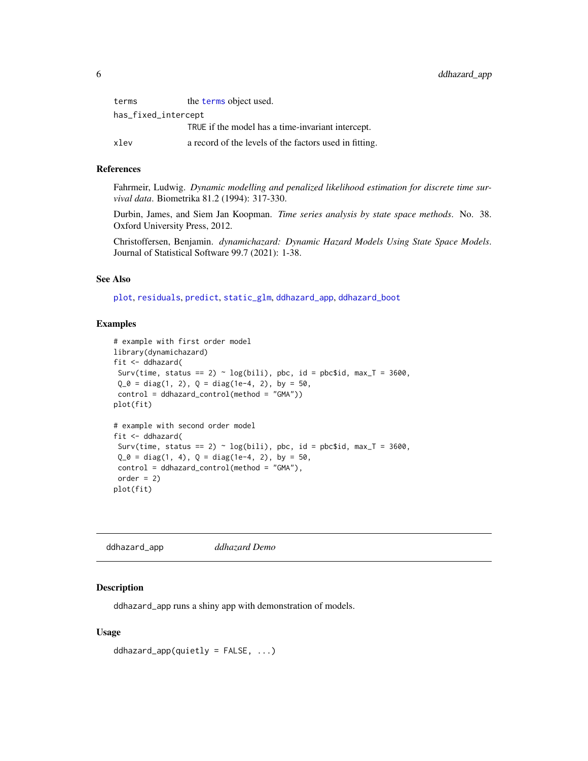<span id="page-5-0"></span>

| terms               | the terms object used.                                 |
|---------------------|--------------------------------------------------------|
| has_fixed_intercept |                                                        |
|                     | TRUE if the model has a time-invariant intercept.      |
| xlev                | a record of the levels of the factors used in fitting. |

#### References

Fahrmeir, Ludwig. *Dynamic modelling and penalized likelihood estimation for discrete time survival data*. Biometrika 81.2 (1994): 317-330.

Durbin, James, and Siem Jan Koopman. *Time series analysis by state space methods*. No. 38. Oxford University Press, 2012.

Christoffersen, Benjamin. *dynamichazard: Dynamic Hazard Models Using State Space Models*. Journal of Statistical Software 99.7 (2021): 1-38.

### See Also

[plot](#page-34-1), [residuals](#page-44-1), [predict](#page-41-1), [static\\_glm](#page-45-1), [ddhazard\\_app](#page-5-1), [ddhazard\\_boot](#page-6-1)

#### Examples

```
# example with first order model
library(dynamichazard)
fit <- ddhazard(
 Surv(time, status == 2) \sim log(bili), pbc, id = pbc$id, max_T = 3600,
 Q_0 = diag(1, 2), Q = diag(1e-4, 2), by = 50,control = ddhazard_control(method = "GMA"))
plot(fit)
# example with second order model
fit <- ddhazard(
 Surv(time, status == 2) \sim log(bili), pbc, id = pbc$id, max_T = 3600,
 Q_0 = diag(1, 4), Q = diag(1e-4, 2), by = 50,control = ddhazard_control(method = "GMA"),
 order = 2)
plot(fit)
```
<span id="page-5-1"></span>ddhazard\_app *ddhazard Demo*

#### **Description**

ddhazard\_app runs a shiny app with demonstration of models.

```
ddhazard_app(quietly = FALSE, ...)
```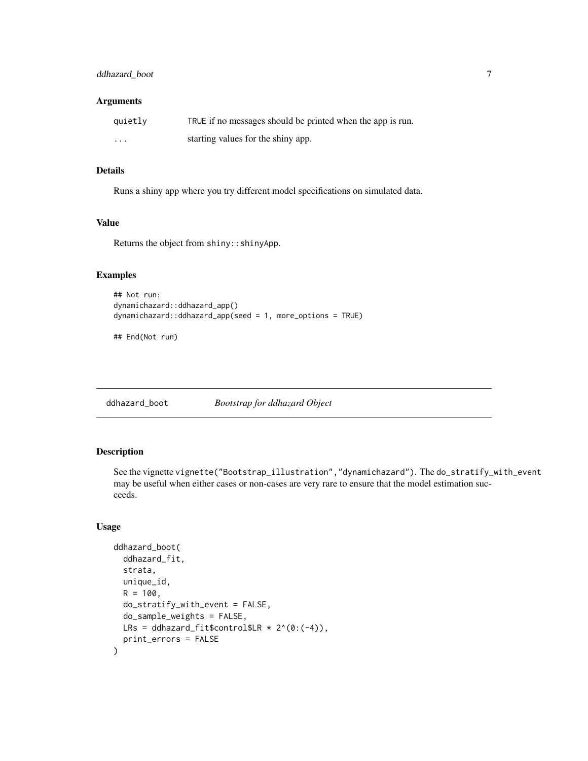### <span id="page-6-0"></span>ddhazard\_boot 7

#### Arguments

| quietly  | TRUE if no messages should be printed when the app is run. |
|----------|------------------------------------------------------------|
| $\cdots$ | starting values for the shiny app.                         |

### Details

Runs a shiny app where you try different model specifications on simulated data.

### Value

Returns the object from shiny::shinyApp.

### Examples

```
## Not run:
dynamichazard::ddhazard_app()
dynamichazard::ddhazard_app(seed = 1, more_options = TRUE)
```
## End(Not run)

<span id="page-6-1"></span>ddhazard\_boot *Bootstrap for ddhazard Object*

### Description

See the vignette vignette("Bootstrap\_illustration","dynamichazard"). The do\_stratify\_with\_event may be useful when either cases or non-cases are very rare to ensure that the model estimation succeeds.

```
ddhazard_boot(
  ddhazard_fit,
  strata,
  unique_id,
  R = 100.
  do_stratify_with_event = FALSE,
  do_sample_weights = FALSE,
 LRs = ddhazard_fit$control$LR * 2^(0:(-4)),
  print_errors = FALSE
\mathcal{E}
```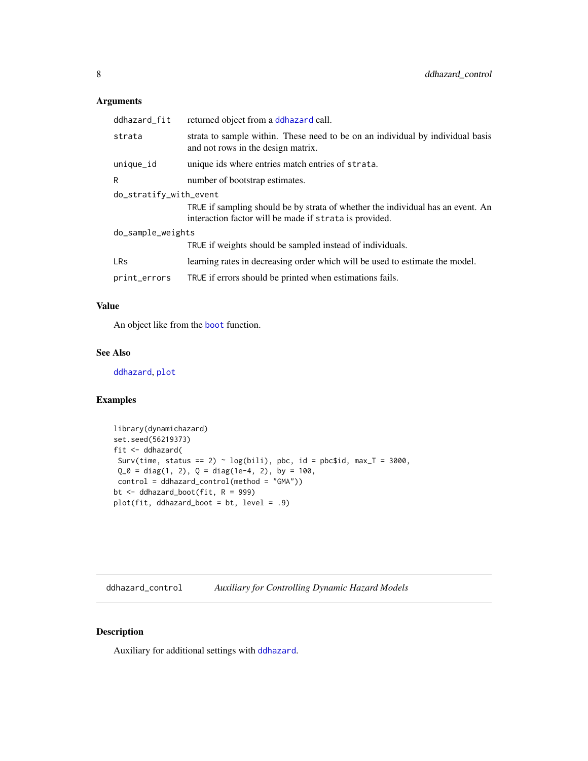### <span id="page-7-0"></span>Arguments

| ddhazard_fit           | returned object from a ddhazard call.                                                                                                     |  |
|------------------------|-------------------------------------------------------------------------------------------------------------------------------------------|--|
| strata                 | strata to sample within. These need to be on an individual by individual basis<br>and not rows in the design matrix.                      |  |
| unique_id              | unique ids where entries match entries of strata.                                                                                         |  |
| R                      | number of bootstrap estimates.                                                                                                            |  |
| do_stratify_with_event |                                                                                                                                           |  |
|                        | TRUE if sampling should be by strata of whether the individual has an event. An<br>interaction factor will be made if strata is provided. |  |
| do_sample_weights      |                                                                                                                                           |  |
|                        | TRUE if weights should be sampled instead of individuals.                                                                                 |  |
| <b>LRs</b>             | learning rates in decreasing order which will be used to estimate the model.                                                              |  |
| print_errors           | TRUE if errors should be printed when estimations fails.                                                                                  |  |

### Value

An object like from the [boot](#page-0-0) function.

#### See Also

[ddhazard](#page-3-1), [plot](#page-34-1)

### Examples

```
library(dynamichazard)
set.seed(56219373)
fit <- ddhazard(
 Surv(time, status == 2) \sim log(bili), pbc, id = pbc$id, max_T = 3000,
 Q_0 = diag(1, 2), Q = diag(1e-4, 2), by = 100,control = ddhazard_control(method = "GMA"))
bt <- ddhazard_boot(fit, R = 999)
plot(fit, ddhazard_boot = bt, level = .9)
```
<span id="page-7-1"></span>ddhazard\_control *Auxiliary for Controlling Dynamic Hazard Models*

### Description

Auxiliary for additional settings with [ddhazard](#page-3-1).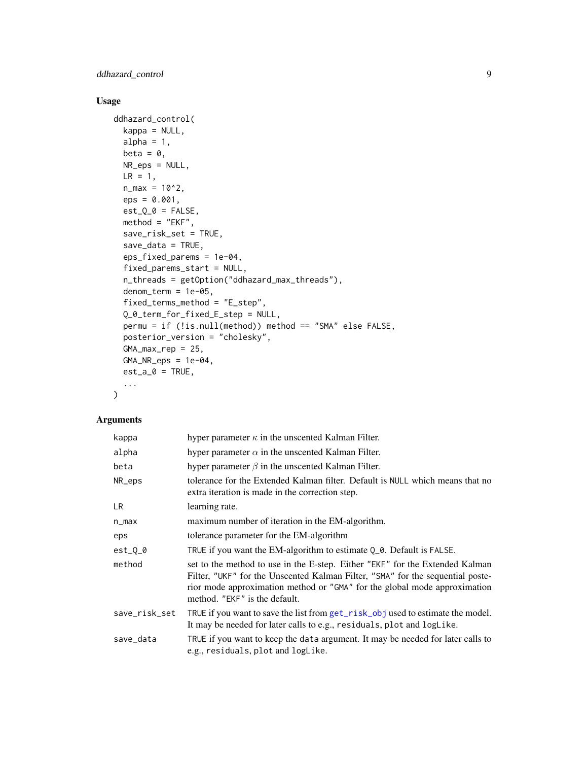### <span id="page-8-0"></span>ddhazard\_control 9

### Usage

```
ddhazard_control(
 kappa = NULL,
  alpha = 1,
 beta = \theta,
 NR_eps = NULL,
 LR = 1,n_{max} = 10^2,eps = 0.001,est_Q_0 = FALSE,method = "EKF",save_risk_set = TRUE,
  save\_data = TRUE,eps_fixed_parems = 1e-04,
  fixed_parems_start = NULL,
  n_threads = getOption("ddhazard_max_threads"),
  denom_term = 1e-05,
  fixed_terms_method = "E_step",
  Q_0_term_for_fixed_E_step = NULL,
  permu = if (!is.null(method)) method == "SMA" else FALSE,
  posterior_version = "cholesky",
  GMA_max_rep = 25,
  GMA_NR_eps = 1e-04,
  est_a_0 = TRUE,...
```
### Arguments

)

| kappa         | hyper parameter $\kappa$ in the unscented Kalman Filter.                                                                                                                                                                                                                     |
|---------------|------------------------------------------------------------------------------------------------------------------------------------------------------------------------------------------------------------------------------------------------------------------------------|
| alpha         | hyper parameter $\alpha$ in the unscented Kalman Filter.                                                                                                                                                                                                                     |
| beta          | hyper parameter $\beta$ in the unscented Kalman Filter.                                                                                                                                                                                                                      |
| NR_eps        | tolerance for the Extended Kalman filter. Default is NULL which means that no<br>extra iteration is made in the correction step.                                                                                                                                             |
| LR.           | learning rate.                                                                                                                                                                                                                                                               |
| n_max         | maximum number of iteration in the EM-algorithm.                                                                                                                                                                                                                             |
| eps           | tolerance parameter for the EM-algorithm                                                                                                                                                                                                                                     |
| $est_0_0$     | TRUE if you want the EM-algorithm to estimate Q_0. Default is FALSE.                                                                                                                                                                                                         |
| method        | set to the method to use in the E-step. Either "EKF" for the Extended Kalman<br>Filter, "UKF" for the Unscented Kalman Filter, "SMA" for the sequential poste-<br>rior mode approximation method or "GMA" for the global mode approximation<br>method. "EKF" is the default. |
| save_risk_set | TRUE if you want to save the list from get_risk_obj used to estimate the model.<br>It may be needed for later calls to e.g., residuals, plot and logLike.                                                                                                                    |
| save_data     | TRUE if you want to keep the data argument. It may be needed for later calls to<br>e.g., residuals, plot and logLike.                                                                                                                                                        |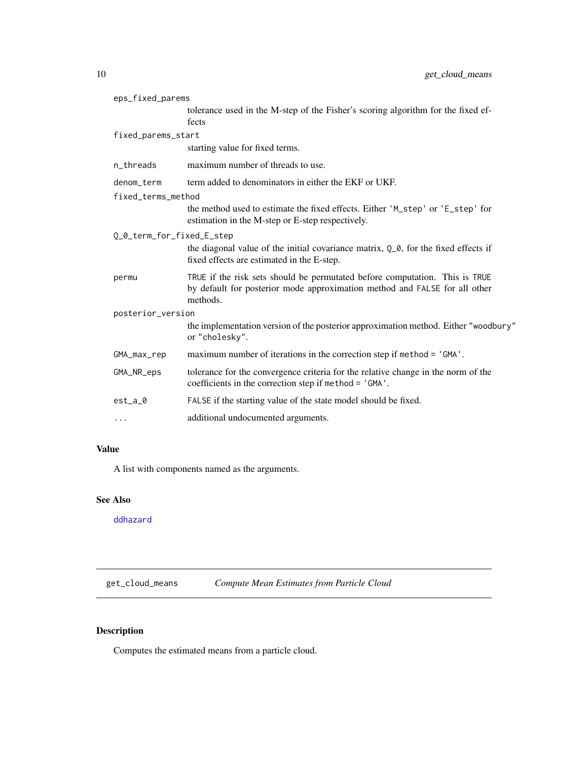<span id="page-9-0"></span>

| eps_fixed_parems          |                                                                                                                                                                       |  |
|---------------------------|-----------------------------------------------------------------------------------------------------------------------------------------------------------------------|--|
|                           | tolerance used in the M-step of the Fisher's scoring algorithm for the fixed ef-<br>fects                                                                             |  |
| fixed_parems_start        |                                                                                                                                                                       |  |
|                           | starting value for fixed terms.                                                                                                                                       |  |
| n threads                 | maximum number of threads to use.                                                                                                                                     |  |
| denom_term                | term added to denominators in either the EKF or UKF.                                                                                                                  |  |
| fixed_terms_method        |                                                                                                                                                                       |  |
|                           | the method used to estimate the fixed effects. Either 'M_step' or 'E_step' for<br>estimation in the M-step or E-step respectively.                                    |  |
| Q_0_term_for_fixed_E_step |                                                                                                                                                                       |  |
|                           | the diagonal value of the initial covariance matrix, $Q_0$ , for the fixed effects if<br>fixed effects are estimated in the E-step.                                   |  |
| permu                     | TRUE if the risk sets should be permutated before computation. This is TRUE<br>by default for posterior mode approximation method and FALSE for all other<br>methods. |  |
| posterior_version         |                                                                                                                                                                       |  |
|                           | the implementation version of the posterior approximation method. Either "woodbury"<br>or "cholesky".                                                                 |  |
| GMA_max_rep               | maximum number of iterations in the correction step if method = 'GMA'.                                                                                                |  |
| GMA_NR_eps                | tolerance for the convergence criteria for the relative change in the norm of the<br>coefficients in the correction step if method = 'GMA'.                           |  |
| $est_a_0$                 | FALSE if the starting value of the state model should be fixed.                                                                                                       |  |
| $\cdots$                  | additional undocumented arguments.                                                                                                                                    |  |

### Value

A list with components named as the arguments.

### See Also

[ddhazard](#page-3-1)

get\_cloud\_means *Compute Mean Estimates from Particle Cloud*

### Description

Computes the estimated means from a particle cloud.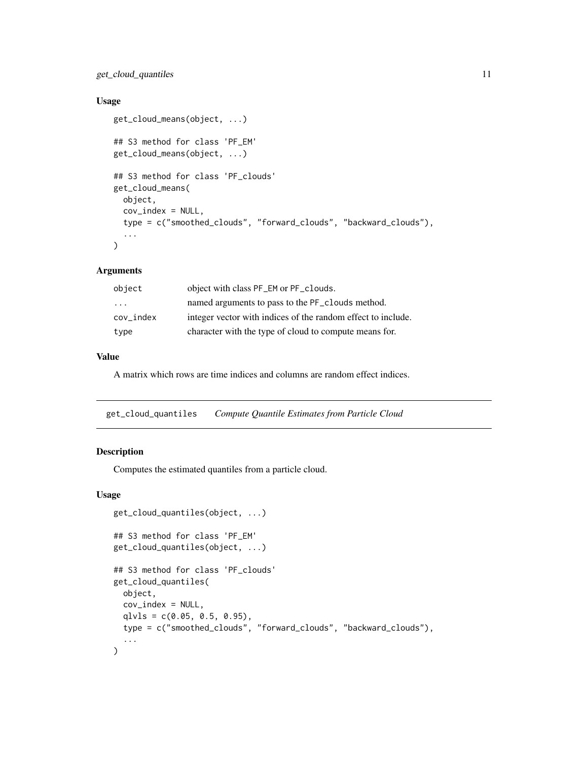### <span id="page-10-0"></span>get\_cloud\_quantiles 11

### Usage

```
get_cloud_means(object, ...)
## S3 method for class 'PF_EM'
get_cloud_means(object, ...)
## S3 method for class 'PF_clouds'
get_cloud_means(
 object,
 cov_index = NULL,
  type = c("smoothed_clouds", "forward_clouds", "backward_clouds"),
  ...
\mathcal{L}
```
### Arguments

| object    | object with class PF_EM or PF_clouds.                        |
|-----------|--------------------------------------------------------------|
| $\cdot$   | named arguments to pass to the PF_clouds method.             |
| cov index | integer vector with indices of the random effect to include. |
| type      | character with the type of cloud to compute means for.       |

### Value

A matrix which rows are time indices and columns are random effect indices.

get\_cloud\_quantiles *Compute Quantile Estimates from Particle Cloud*

### Description

Computes the estimated quantiles from a particle cloud.

```
get_cloud_quantiles(object, ...)
## S3 method for class 'PF_EM'
get_cloud_quantiles(object, ...)
## S3 method for class 'PF_clouds'
get_cloud_quantiles(
 object,
 cov_index = NULL,
  qlvls = c(0.05, 0.5, 0.95),
  type = c("smoothed_clouds", "forward_clouds", "backward_clouds"),
  ...
\mathcal{E}
```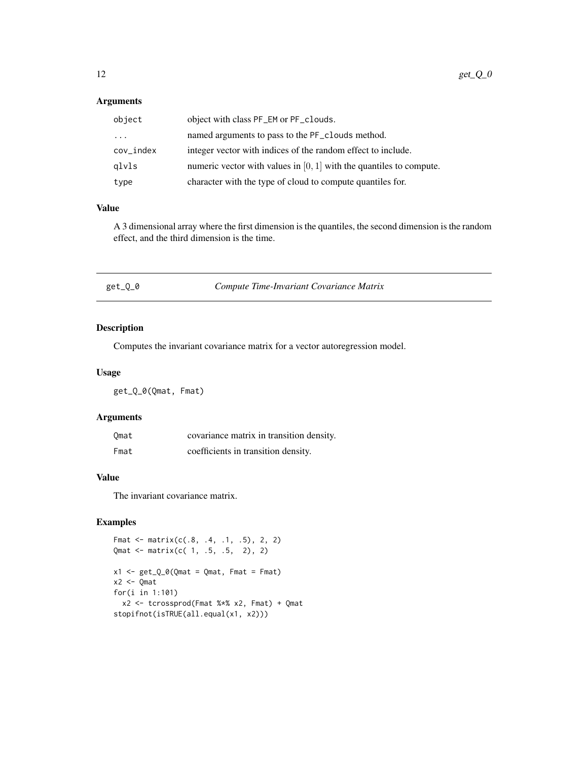### <span id="page-11-0"></span>Arguments

| object       | object with class PF_EM or PF_clouds.                                 |
|--------------|-----------------------------------------------------------------------|
| $\cdot$      | named arguments to pass to the PF_clouds method.                      |
| $cov\_index$ | integer vector with indices of the random effect to include.          |
| glvls        | numeric vector with values in $[0, 1]$ with the quantiles to compute. |
| type         | character with the type of cloud to compute quantiles for.            |

#### Value

A 3 dimensional array where the first dimension is the quantiles, the second dimension is the random effect, and the third dimension is the time.

| Compute Time-Invariant Covariance Matrix<br>get_Q_0 |  |
|-----------------------------------------------------|--|
|-----------------------------------------------------|--|

### Description

Computes the invariant covariance matrix for a vector autoregression model.

### Usage

get\_Q\_0(Qmat, Fmat)

### Arguments

| Omat | covariance matrix in transition density. |
|------|------------------------------------------|
| Fmat | coefficients in transition density.      |

### Value

The invariant covariance matrix.

### Examples

```
Fmat \le matrix(c(.8, .4, .1, .5), 2, 2)
Qmat <- matrix(c( 1, .5, .5, 2), 2)
x1 \leftarrow get_Q_0(Qmat = Qmat, Fmat = Fmat)x2 <- Qmat
for(i in 1:101)
  x2 <- tcrossprod(Fmat %*% x2, Fmat) + Qmat
stopifnot(isTRUE(all.equal(x1, x2)))
```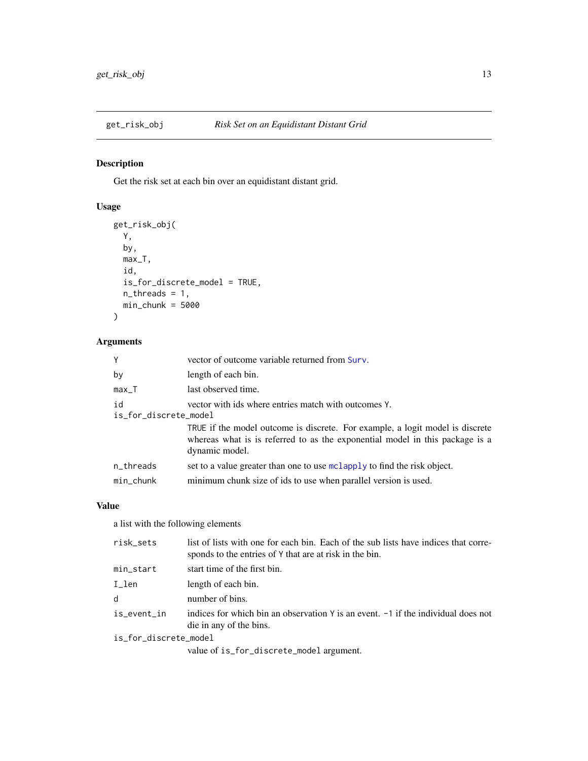<span id="page-12-1"></span><span id="page-12-0"></span>

### Description

Get the risk set at each bin over an equidistant distant grid.

### Usage

```
get_risk_obj(
  Y,
  by,
  max_T,
  id,
  is_for_discrete_model = TRUE,
  n_threads = 1,
  min_{\text{chunk}} = 5000\mathcal{L}
```
### Arguments

| Υ                           | vector of outcome variable returned from Surv.                                                                                        |
|-----------------------------|---------------------------------------------------------------------------------------------------------------------------------------|
| by                          | length of each bin.                                                                                                                   |
| max_T                       | last observed time.                                                                                                                   |
| id<br>is_for_discrete_model | vector with ids where entries match with outcomes Y.<br>TRUE if the model outcome is discrete. For example, a logit model is discrete |
|                             | whereas what is is referred to as the exponential model in this package is a<br>dynamic model.                                        |
| n_threads                   | set to a value greater than one to use mclapply to find the risk object.                                                              |
| min_chunk                   | minimum chunk size of ids to use when parallel version is used.                                                                       |

#### Value

a list with the following elements

| risk sets             | list of lists with one for each bin. Each of the sub lists have indices that corre-<br>sponds to the entries of Y that are at risk in the bin. |
|-----------------------|------------------------------------------------------------------------------------------------------------------------------------------------|
| min_start             | start time of the first bin.                                                                                                                   |
| $I$ _ $l$ en          | length of each bin.                                                                                                                            |
| d                     | number of bins.                                                                                                                                |
| is_event_in           | indices for which bin an observation $\gamma$ is an event. $-1$ if the individual does not<br>die in any of the bins.                          |
| is_for_discrete_model |                                                                                                                                                |
|                       | value of is_for_discrete_model argument.                                                                                                       |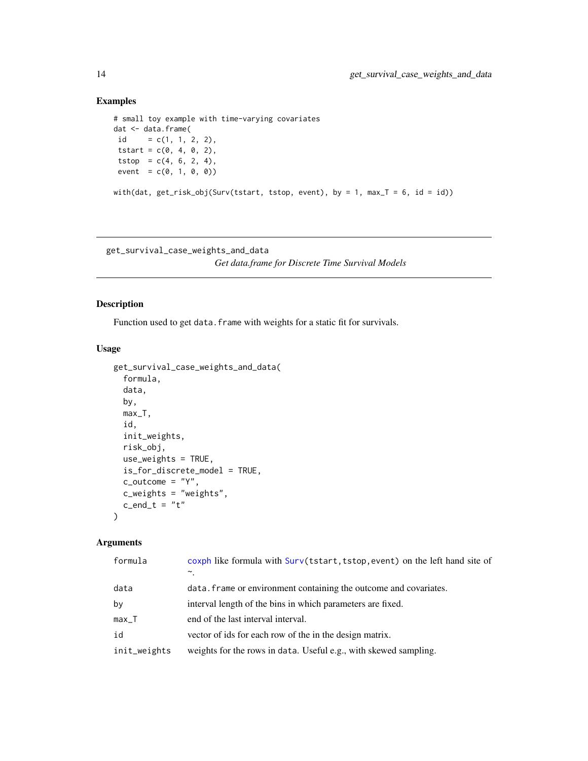### Examples

```
# small toy example with time-varying covariates
dat <- data.frame(
id = c(1, 1, 2, 2),
tstart = c(0, 4, 0, 2),
tstop = c(4, 6, 2, 4),
event = c(0, 1, 0, 0)with(dat, get\_risk\_obj(Surv(tstart, tstop, event), by = 1, max_T = 6, id = id))
```
<span id="page-13-1"></span>get\_survival\_case\_weights\_and\_data *Get data.frame for Discrete Time Survival Models*

#### Description

Function used to get data. frame with weights for a static fit for survivals.

### Usage

```
get_survival_case_weights_and_data(
  formula,
  data,
 by,
 max_T,
  id,
  init_weights,
 risk_obj,
 use_weights = TRUE,
  is_for_discrete_model = TRUE,
  c_outcome = "Y",
  c_weights = "weights",
  c_end_t = "t"
)
```

| formula      | coxph like formula with Surv(tstart, tstop, event) on the left hand site of<br>$\tilde{\phantom{a}}$ |
|--------------|------------------------------------------------------------------------------------------------------|
| data         | data. Frame or environment containing the outcome and covariates.                                    |
| by           | interval length of the bins in which parameters are fixed.                                           |
| $max_T$      | end of the last interval interval.                                                                   |
| id           | vector of ids for each row of the in the design matrix.                                              |
| init_weights | weights for the rows in data. Useful e.g., with skewed sampling.                                     |

<span id="page-13-0"></span>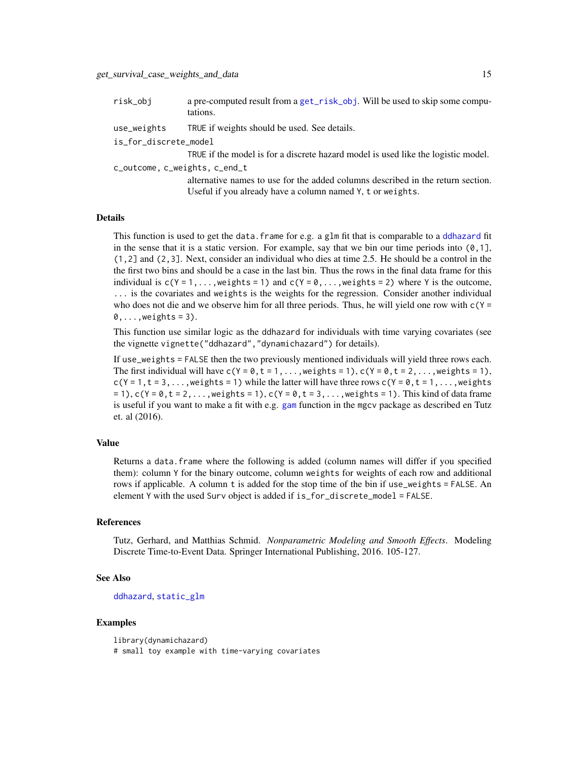<span id="page-14-0"></span>

| risk_obj                      | a pre-computed result from a get_risk_obj. Will be used to skip some compu-<br>tations. |  |
|-------------------------------|-----------------------------------------------------------------------------------------|--|
| use_weights                   | TRUE if weights should be used. See details.                                            |  |
| is_for_discrete_model         |                                                                                         |  |
|                               | TRUE if the model is for a discrete hazard model is used like the logistic model.       |  |
| c_outcome, c_weights, c_end_t |                                                                                         |  |
|                               | alternative names to use for the added columns described in the return section.         |  |
|                               | Useful if you already have a column named Y, t or weights.                              |  |

#### Details

This function is used to get the data.frame for e.g. a glm fit that is comparable to a [ddhazard](#page-3-1) fit in the sense that it is a static version. For example, say that we bin our time periods into  $(0,1]$ , (1,2] and (2,3]. Next, consider an individual who dies at time 2.5. He should be a control in the the first two bins and should be a case in the last bin. Thus the rows in the final data frame for this individual is  $c(Y = 1, \ldots, \text{weights} = 1)$  and  $c(Y = 0, \ldots, \text{weights} = 2)$  where Y is the outcome, ... is the covariates and weights is the weights for the regression. Consider another individual who does not die and we observe him for all three periods. Thus, he will yield one row with  $c(Y =$  $0, \ldots$ , weights = 3).

This function use similar logic as the ddhazard for individuals with time varying covariates (see the vignette vignette("ddhazard","dynamichazard") for details).

If use\_weights = FALSE then the two previously mentioned individuals will yield three rows each. The first individual will have  $c(Y = 0, t = 1, \ldots,$  weights = 1),  $c(Y = 0, t = 2, \ldots,$  weights = 1),  $c(Y = 1, t = 3, \ldots,$  weights = 1) while the latter will have three rows  $c(Y = 0, t = 1, \ldots,$  weights  $= 1$ , c(Y = 0, t = 2, ..., weights = 1), c(Y = 0, t = 3, ..., weights = 1). This kind of data frame is useful if you want to make a fit with e.g. [gam](#page-0-0) function in the mgcv package as described en Tutz et. al (2016).

#### Value

Returns a data.frame where the following is added (column names will differ if you specified them): column Y for the binary outcome, column weights for weights of each row and additional rows if applicable. A column t is added for the stop time of the bin if use\_weights = FALSE. An element Y with the used Surv object is added if is\_for\_discrete\_model = FALSE.

#### References

Tutz, Gerhard, and Matthias Schmid. *Nonparametric Modeling and Smooth Effects*. Modeling Discrete Time-to-Event Data. Springer International Publishing, 2016. 105-127.

#### See Also

#### [ddhazard](#page-3-1), [static\\_glm](#page-45-1)

#### Examples

library(dynamichazard) # small toy example with time-varying covariates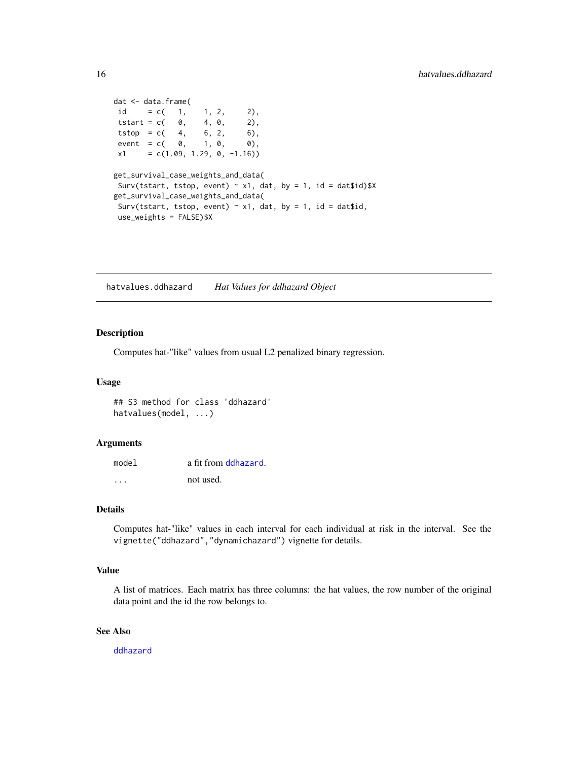```
dat <- data.frame(
id = c( 1, 1, 2, 2),
tstart = c( 0, 4, 0, 2),
tstop = c( 4, 6, 2, 6),
event = c( 0, 1, 0, 0),
x1 = c(1.09, 1.29, 0, -1.16)get_survival_case_weights_and_data(
Surv(tstart, tstop, event) \sim x1, dat, by = 1, id = dat$id)$X
get_survival_case_weights_and_data(
Surv(tstart, tstop, event) \sim x1, dat, by = 1, id = dat$id,
use_weights = FALSE)$X
```
hatvalues.ddhazard *Hat Values for ddhazard Object*

### Description

Computes hat-"like" values from usual L2 penalized binary regression.

#### Usage

## S3 method for class 'ddhazard' hatvalues(model, ...)

#### Arguments

| model | a fit from ddhazard. |
|-------|----------------------|
| .     | not used.            |

#### Details

Computes hat-"like" values in each interval for each individual at risk in the interval. See the vignette("ddhazard","dynamichazard") vignette for details.

### Value

A list of matrices. Each matrix has three columns: the hat values, the row number of the original data point and the id the row belongs to.

#### See Also

[ddhazard](#page-3-1)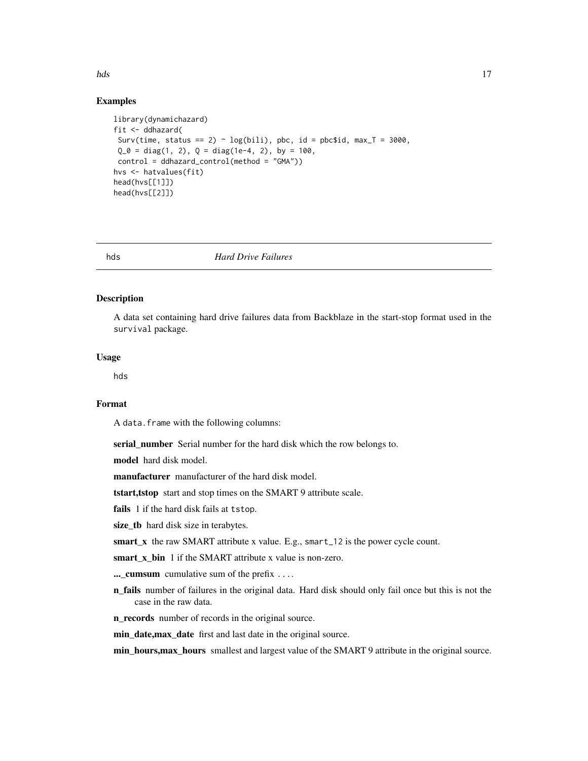## Examples

```
library(dynamichazard)
fit <- ddhazard(
 Surv(time, status == 2) \sim log(bili), pbc, id = pbc$id, max_T = 3000,
 Q_0 = diag(1, 2), Q = diag(1e-4, 2), by = 100,control = ddhazard_control(method = "GMA"))
hvs <- hatvalues(fit)
head(hvs[[1]])
head(hvs[[2]])
```
hds *Hard Drive Failures*

#### **Description**

A data set containing hard drive failures data from Backblaze in the start-stop format used in the survival package.

#### Usage

hds

#### Format

A data.frame with the following columns:

serial\_number Serial number for the hard disk which the row belongs to.

model hard disk model.

manufacturer manufacturer of the hard disk model.

tstart,tstop start and stop times on the SMART 9 attribute scale.

fails 1 if the hard disk fails at tstop.

size\_tb hard disk size in terabytes.

smart\_x the raw SMART attribute x value. E.g., smart\_12 is the power cycle count.

smart\_x\_bin 1 if the SMART attribute x value is non-zero.

...\_cumsum cumulative sum of the prefix ....

n\_fails number of failures in the original data. Hard disk should only fail once but this is not the case in the raw data.

n\_records number of records in the original source.

min\_date,max\_date first and last date in the original source.

min\_hours,max\_hours smallest and largest value of the SMART 9 attribute in the original source.

#### <span id="page-16-0"></span>hds and the set of the set of the set of the set of the set of the set of the set of the set of the set of the set of the set of the set of the set of the set of the set of the set of the set of the set of the set of the s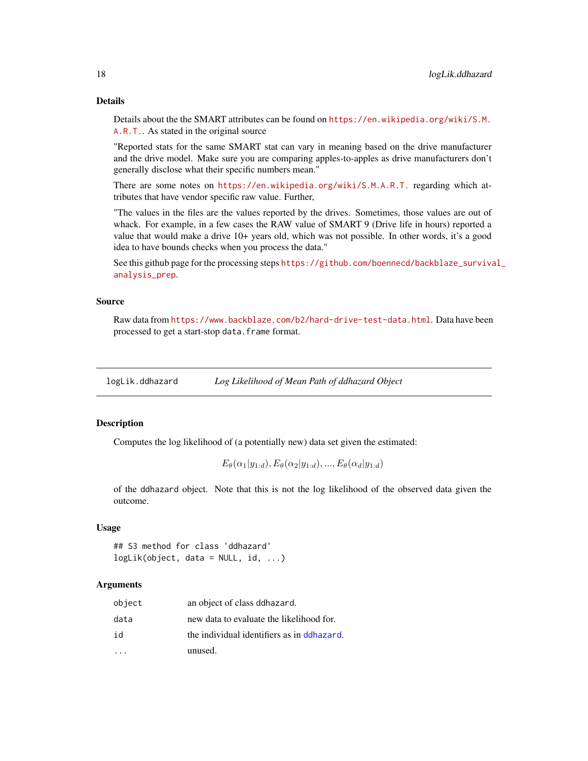#### Details

Details about the the SMART attributes can be found on [https://en.wikipedia.org/wiki/S.M.](https://en.wikipedia.org/wiki/S.M.A.R.T.) [A.R.T.](https://en.wikipedia.org/wiki/S.M.A.R.T.). As stated in the original source

"Reported stats for the same SMART stat can vary in meaning based on the drive manufacturer and the drive model. Make sure you are comparing apples-to-apples as drive manufacturers don't generally disclose what their specific numbers mean."

There are some notes on <https://en.wikipedia.org/wiki/S.M.A.R.T.> regarding which attributes that have vendor specific raw value. Further,

"The values in the files are the values reported by the drives. Sometimes, those values are out of whack. For example, in a few cases the RAW value of SMART 9 (Drive life in hours) reported a value that would make a drive 10+ years old, which was not possible. In other words, it's a good idea to have bounds checks when you process the data."

See this github page for the processing steps [https://github.com/boennecd/backblaze\\_surviva](https://github.com/boennecd/backblaze_survival_analysis_prep)l\_ [analysis\\_prep](https://github.com/boennecd/backblaze_survival_analysis_prep).

#### Source

Raw data from <https://www.backblaze.com/b2/hard-drive-test-data.html>. Data have been processed to get a start-stop data.frame format.

logLik.ddhazard *Log Likelihood of Mean Path of ddhazard Object*

#### Description

Computes the log likelihood of (a potentially new) data set given the estimated:

```
E_{\theta}(\alpha_1|y_{1:d}), E_{\theta}(\alpha_2|y_{1:d}),..., E_{\theta}(\alpha_d|y_{1:d})
```
of the ddhazard object. Note that this is not the log likelihood of the observed data given the outcome.

### Usage

## S3 method for class 'ddhazard' logLik(object, data = NULL, id, ...)

| object | an object of class ddhazard.                |
|--------|---------------------------------------------|
| data   | new data to evaluate the likelihood for.    |
| id     | the individual identifiers as in delegated. |
|        | unused.                                     |

<span id="page-17-0"></span>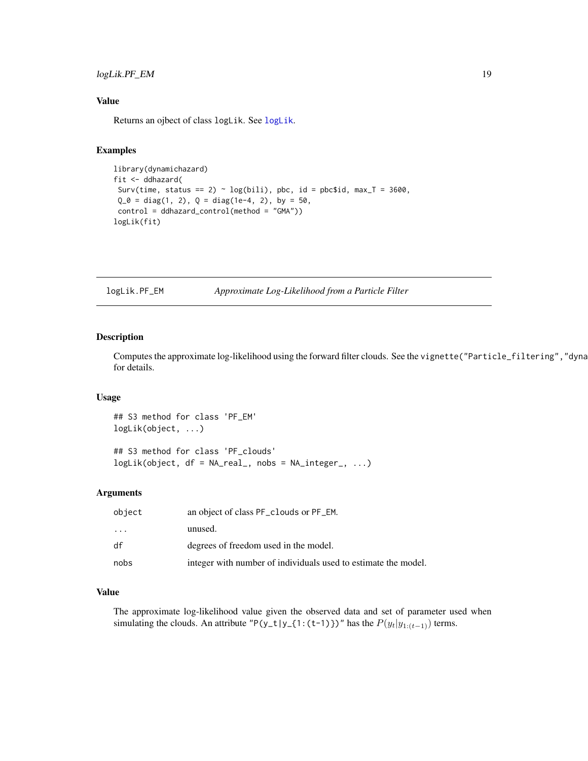### <span id="page-18-0"></span>logLik.PF\_EM 19

### Value

Returns an ojbect of class logLik. See [logLik](#page-0-0).

#### Examples

```
library(dynamichazard)
fit <- ddhazard(
 Surv(time, status == 2) \sim log(bili), pbc, id = pbc$id, max_T = 3600,
 Q_0 = diag(1, 2), Q = diag(1e-4, 2), by = 50,control = ddhazard_control(method = "GMA"))
logLik(fit)
```
logLik.PF\_EM *Approximate Log-Likelihood from a Particle Filter*

### Description

Computes the approximate log-likelihood using the forward filter clouds. See the vignette("Particle\_filtering","dyna for details.

#### Usage

## S3 method for class 'PF\_EM' logLik(object, ...) ## S3 method for class 'PF\_clouds'

 $logLik(object, df = NA\_real_$ , nobs =  $NA_integer_$ , ...)

### Arguments

| object | an object of class PF_clouds or PF_EM.                         |
|--------|----------------------------------------------------------------|
| .      | unused.                                                        |
| df     | degrees of freedom used in the model.                          |
| nobs   | integer with number of individuals used to estimate the model. |

### Value

The approximate log-likelihood value given the observed data and set of parameter used when simulating the clouds. An attribute "P(y\_t|y\_{1:(t-1)})" has the  $P(y_t|y_{1:(t-1)})$  terms.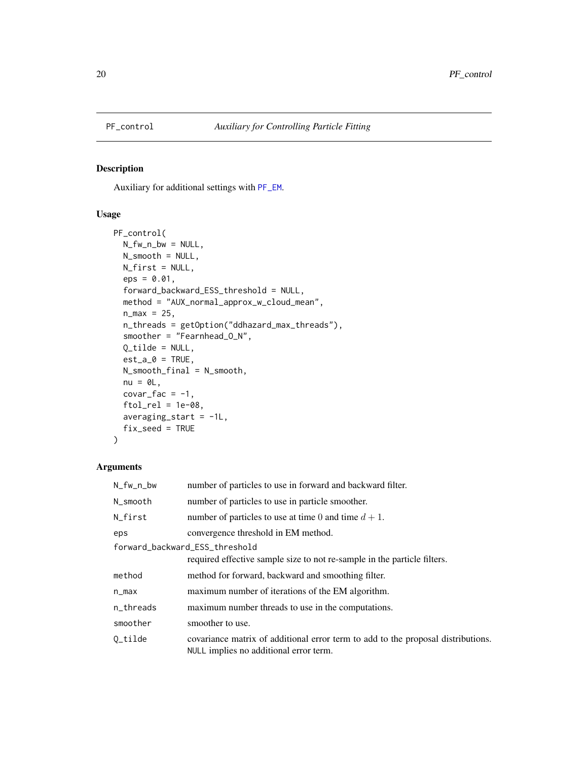<span id="page-19-1"></span><span id="page-19-0"></span>

### Description

Auxiliary for additional settings with [PF\\_EM](#page-21-1).

### Usage

```
PF_control(
 N_fw_n_bw = NULL,
 N_smooth = NULL,
 N_first = NULL,
  eps = 0.01,forward_backward_ESS_threshold = NULL,
 method = "AUX_normal_approx_w_cloud_mean",
 n_{max} = 25,
  n_threads = getOption("ddhazard_max_threads"),
  smoother = "Fearnhead_O_N",
 Q_ttilde = NULL,
  est_a_0 = TRUE,N_smooth_final = N_smooth,
 nu = 0L,covar_fac = -1,
  ftol_{rel} = 1e-08,
  averaging_start = -1L,
  fix_seed = TRUE
\mathcal{L}
```

| N_fw_n_bw                      | number of particles to use in forward and backward filter.                                                                 |  |
|--------------------------------|----------------------------------------------------------------------------------------------------------------------------|--|
| N_smooth                       | number of particles to use in particle smoother.                                                                           |  |
| N_first                        | number of particles to use at time 0 and time $d + 1$ .                                                                    |  |
| eps                            | convergence threshold in EM method.                                                                                        |  |
| forward_backward_ESS_threshold |                                                                                                                            |  |
|                                | required effective sample size to not re-sample in the particle filters.                                                   |  |
| method                         | method for forward, backward and smoothing filter.                                                                         |  |
| $n_{max}$                      | maximum number of iterations of the EM algorithm.                                                                          |  |
| n_threads                      | maximum number threads to use in the computations.                                                                         |  |
| smoother                       | smoother to use.                                                                                                           |  |
| $0$ _tilde                     | covariance matrix of additional error term to add to the proposal distributions.<br>NULL implies no additional error term. |  |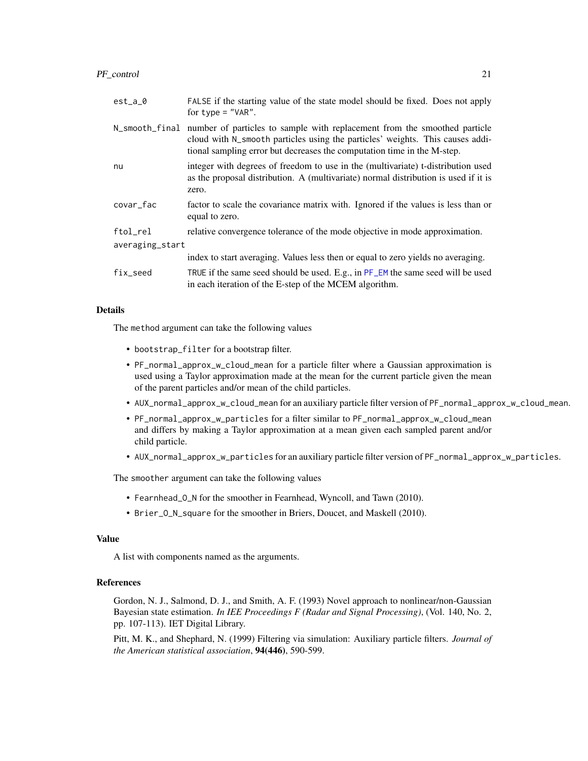### PF\_control 21

| $est_a_0$       | FALSE if the starting value of the state model should be fixed. Does not apply<br>for $type = "VAR".$                                                                                                                                 |  |
|-----------------|---------------------------------------------------------------------------------------------------------------------------------------------------------------------------------------------------------------------------------------|--|
| N_smooth_final  | number of particles to sample with replacement from the smoothed particle<br>cloud with N_smooth particles using the particles' weights. This causes addi-<br>tional sampling error but decreases the computation time in the M-step. |  |
| nu              | integer with degrees of freedom to use in the (multivariate) t-distribution used<br>as the proposal distribution. A (multivariate) normal distribution is used if it is<br>zero.                                                      |  |
| covar_fac       | factor to scale the covariance matrix with. Ignored if the values is less than or<br>equal to zero.                                                                                                                                   |  |
| ftol_rel        | relative convergence tolerance of the mode objective in mode approximation.                                                                                                                                                           |  |
| averaging_start |                                                                                                                                                                                                                                       |  |
|                 | index to start averaging. Values less then or equal to zero yields no averaging.                                                                                                                                                      |  |
| fix_seed        | TRUE if the same seed should be used. E.g., in PF_EM the same seed will be used<br>in each iteration of the E-step of the MCEM algorithm.                                                                                             |  |

#### Details

The method argument can take the following values

- bootstrap\_filter for a bootstrap filter.
- PF\_normal\_approx\_w\_cloud\_mean for a particle filter where a Gaussian approximation is used using a Taylor approximation made at the mean for the current particle given the mean of the parent particles and/or mean of the child particles.
- AUX\_normal\_approx\_w\_cloud\_mean for an auxiliary particle filter version of PF\_normal\_approx\_w\_cloud\_mean.
- PF\_normal\_approx\_w\_particles for a filter similar to PF\_normal\_approx\_w\_cloud\_mean and differs by making a Taylor approximation at a mean given each sampled parent and/or child particle.
- AUX\_normal\_approx\_w\_particles for an auxiliary particle filter version of PF\_normal\_approx\_w\_particles.

The smoother argument can take the following values

- Fearnhead\_O\_N for the smoother in Fearnhead, Wyncoll, and Tawn (2010).
- Brier\_O\_N\_square for the smoother in Briers, Doucet, and Maskell (2010).

### Value

A list with components named as the arguments.

#### References

Gordon, N. J., Salmond, D. J., and Smith, A. F. (1993) Novel approach to nonlinear/non-Gaussian Bayesian state estimation. *In IEE Proceedings F (Radar and Signal Processing)*, (Vol. 140, No. 2, pp. 107-113). IET Digital Library.

Pitt, M. K., and Shephard, N. (1999) Filtering via simulation: Auxiliary particle filters. *Journal of the American statistical association*, 94(446), 590-599.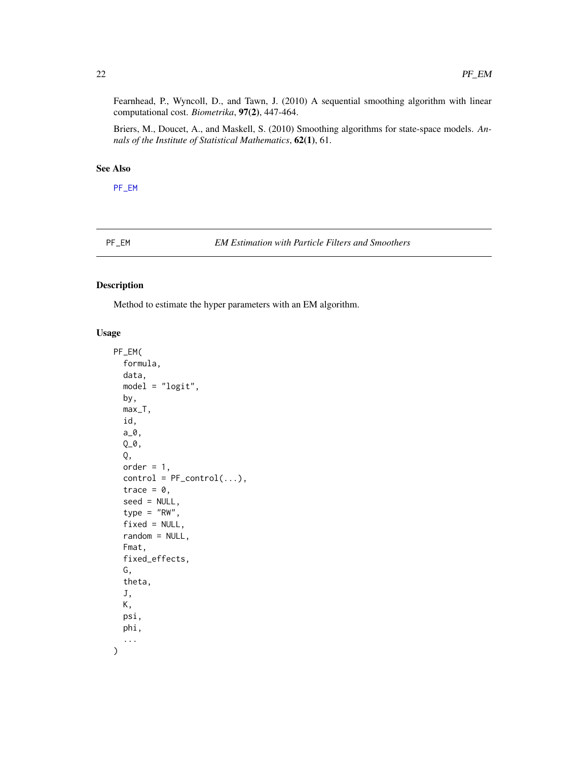<span id="page-21-0"></span>Fearnhead, P., Wyncoll, D., and Tawn, J. (2010) A sequential smoothing algorithm with linear computational cost. *Biometrika*, 97(2), 447-464.

Briers, M., Doucet, A., and Maskell, S. (2010) Smoothing algorithms for state-space models. *Annals of the Institute of Statistical Mathematics*, 62(1), 61.

### See Also

[PF\\_EM](#page-21-1)

<span id="page-21-1"></span>PF\_EM *EM Estimation with Particle Filters and Smoothers*

### Description

Method to estimate the hyper parameters with an EM algorithm.

```
PF_EM(
  formula,
  data,
  model = "logit",
  by,
  max_T,
  id,
  a_0,
  Q_0,
  Q,
  order = 1,
  control = PF\_control(...),trace = 0,
  seed = NULL,
  type = "RW",fixed = NULL,random = NULL,
  Fmat,
  fixed_effects,
  G,
  theta,
  J,
  K,
  psi,
  phi,
  ...
\mathcal{E}
```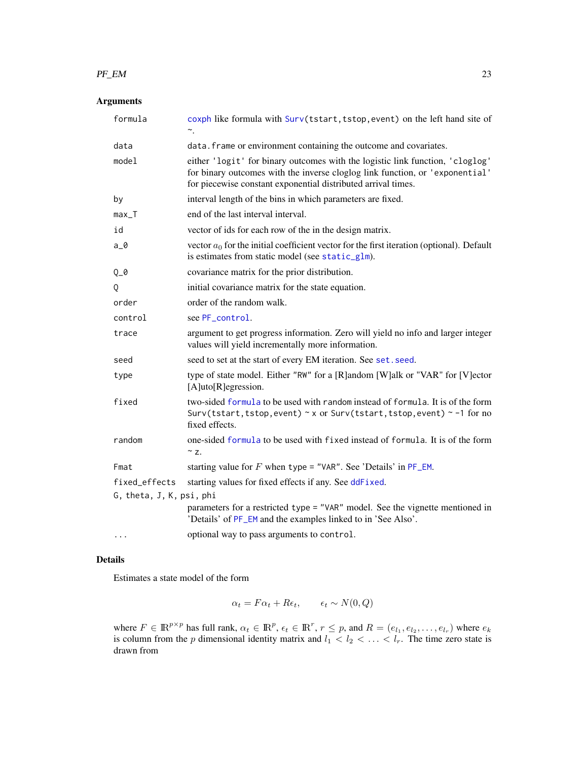#### <span id="page-22-0"></span> $PF\_EM$  23

### Arguments

| formula                                   | coxph like formula with Surv(tstart, tstop, event) on the left hand site of<br>∼.                                                                                                                                              |
|-------------------------------------------|--------------------------------------------------------------------------------------------------------------------------------------------------------------------------------------------------------------------------------|
| data                                      | data. frame or environment containing the outcome and covariates.                                                                                                                                                              |
| model                                     | either 'logit' for binary outcomes with the logistic link function, 'cloglog'<br>for binary outcomes with the inverse cloglog link function, or 'exponential'<br>for piecewise constant exponential distributed arrival times. |
| by                                        | interval length of the bins in which parameters are fixed.                                                                                                                                                                     |
| $max_T$                                   | end of the last interval interval.                                                                                                                                                                                             |
| id                                        | vector of ids for each row of the in the design matrix.                                                                                                                                                                        |
| $a_0$                                     | vector $a_0$ for the initial coefficient vector for the first iteration (optional). Default<br>is estimates from static model (see static_glm).                                                                                |
| $Q_0$                                     | covariance matrix for the prior distribution.                                                                                                                                                                                  |
| Q                                         | initial covariance matrix for the state equation.                                                                                                                                                                              |
| order                                     | order of the random walk.                                                                                                                                                                                                      |
| control                                   | see PF_control.                                                                                                                                                                                                                |
| trace                                     | argument to get progress information. Zero will yield no info and larger integer<br>values will yield incrementally more information.                                                                                          |
| seed                                      | seed to set at the start of every EM iteration. See set. seed.                                                                                                                                                                 |
| type                                      | type of state model. Either "RW" for a [R]andom [W]alk or "VAR" for [V]ector<br>[A]uto[R]egression.                                                                                                                            |
| fixed                                     | two-sided formula to be used with random instead of formula. It is of the form<br>Surv(tstart, tstop, event) $\sim$ x or Surv(tstart, tstop, event) $\sim$ -1 for no<br>fixed effects.                                         |
| random                                    | one-sided formula to be used with fixed instead of formula. It is of the form<br>$\sim$ z.                                                                                                                                     |
| Fmat                                      | starting value for $F$ when type = "VAR". See 'Details' in $PF$ _EM.                                                                                                                                                           |
| fixed effects<br>G, theta, J, K, psi, phi | starting values for fixed effects if any. See ddFixed.                                                                                                                                                                         |
|                                           | parameters for a restricted type = "VAR" model. See the vignette mentioned in<br>'Details' of PF_EM and the examples linked to in 'See Also'.                                                                                  |
| $\cdots$                                  | optional way to pass arguments to control.                                                                                                                                                                                     |

#### Details

Estimates a state model of the form

$$
\alpha_t = F\alpha_t + R\epsilon_t, \qquad \epsilon_t \sim N(0, Q)
$$

where  $F \in \mathbb{R}^{p \times p}$  has full rank,  $\alpha_t \in \mathbb{R}^p$ ,  $\epsilon_t \in \mathbb{R}^r$ ,  $r \leq p$ , and  $R = (e_{l_1}, e_{l_2}, \dots, e_{l_r})$  where  $e_k$ is column from the p dimensional identity matrix and  $l_1 < l_2 < \ldots < l_r$ . The time zero state is drawn from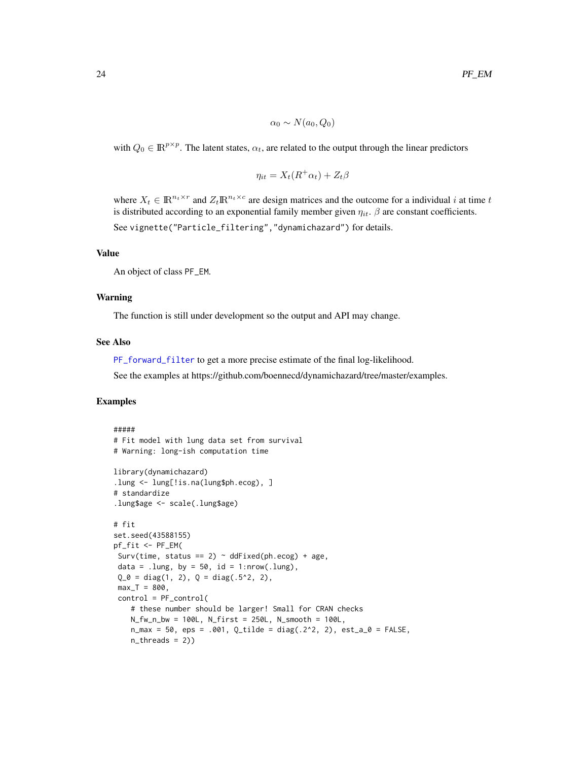$$
\alpha_0 \sim N(a_0, Q_0)
$$

<span id="page-23-0"></span>with  $Q_0 \in \mathbb{R}^{p \times p}$ . The latent states,  $\alpha_t$ , are related to the output through the linear predictors

$$
\eta_{it} = X_t(R^+\alpha_t) + Z_t\beta
$$

where  $X_t \in \mathbb{R}^{n_t \times r}$  and  $Z_t \mathbb{R}^{n_t \times c}$  are design matrices and the outcome for a individual i at time t is distributed according to an exponential family member given  $\eta_{it}$ .  $\beta$  are constant coefficients.

See vignette("Particle\_filtering","dynamichazard") for details.

### Value

An object of class PF\_EM.

#### Warning

The function is still under development so the output and API may change.

#### See Also

[PF\\_forward\\_filter](#page-27-1) to get a more precise estimate of the final log-likelihood.

See the examples at https://github.com/boennecd/dynamichazard/tree/master/examples.

#### Examples

```
#####
# Fit model with lung data set from survival
# Warning: long-ish computation time
library(dynamichazard)
.lung <- lung[!is.na(lung$ph.ecog), ]
# standardize
.lung$age <- scale(.lung$age)
# fit
set.seed(43588155)
pf_fit <- PF_EM(
Surv(time, status == 2) \sim ddFixed(ph.ecog) + age,
data = .lung, by = 50, id = 1:nrow(.lung),
Q_0 = diag(1, 2), Q = diag(.5^2, 2),max_T = 800,
 control = PF_control(
   # these number should be larger! Small for CRAN checks
   N_fw_n_bw = 100L, N_first = 250L, N_smooth = 100L,
   n_{max} = 50, eps = .001, Q_tilde = diag(.2^2, 2), est_a_0 = FALSE,
   n_{th}reads = 2))
```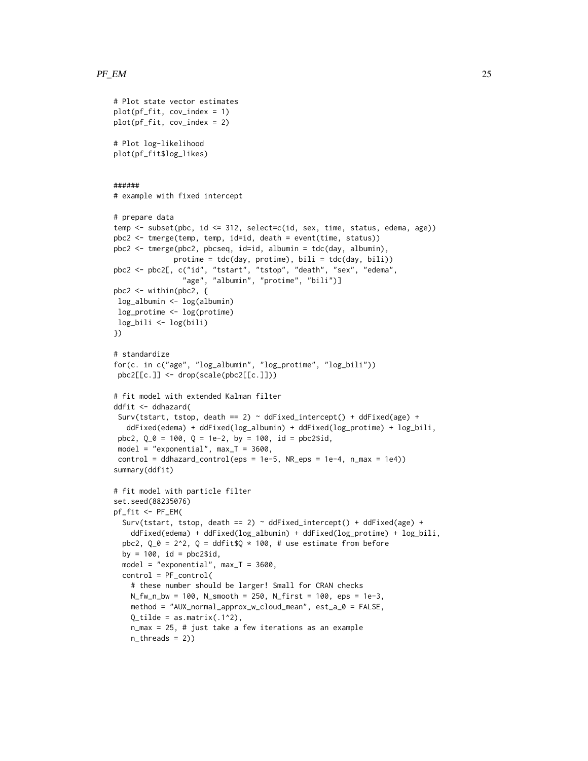```
# Plot state vector estimates
plot(pf_fit, cov_index = 1)
plot(pf_fit, cov_index = 2)
# Plot log-likelihood
plot(pf_fit$log_likes)
######
# example with fixed intercept
# prepare data
temp <- subset(pbc, id <= 312, select=c(id, sex, time, status, edema, age))
pbc2 <- tmerge(temp, temp, id=id, death = event(time, status))
pbc2 <- tmerge(pbc2, pbcseq, id=id, albumin = tdc(day, albumin),
              protime = tdc(day, protime), bili = tdc(day, bili))
pbc2 <- pbc2[, c("id", "tstart", "tstop", "death", "sex", "edema",
                "age", "albumin", "protime", "bili")]
pbc2 <- within(pbc2, {
log_albumin <- log(albumin)
 log_protime <- log(protime)
log_bili <- log(bili)
})
# standardize
for(c. in c("age", "log_albumin", "log_protime", "log_bili"))
 pbc2[[c.]] <- drop(scale(pbc2[[c.]]))
# fit model with extended Kalman filter
ddfit <- ddhazard(
 Surv(tstart, tstop, death == 2) \sim ddFixed_intercept() + ddFixed(age) +
   ddFixed(edema) + ddFixed(log_albumin) + ddFixed(log_protime) + log_bili,
 pbc2, Q_0 = 100, Q = 1e-2, by = 100, id = pbc2$id,
 model = "exponential", max_T = 3600,
 control = ddhazard_counto1(eps = 1e-5, NR_eps = 1e-4, n_max = 1e4))summary(ddfit)
# fit model with particle filter
set.seed(88235076)
pf_fit <- PF_EM(
  Surv(tstart, tstop, death == 2) \sim ddFixed_intercept() + ddFixed(age) +
    ddFixed(edema) + ddFixed(log_albumin) + ddFixed(log_protime) + log_bili,
  pbc2, Q_0 = 2^2, Q = \text{ddfit}$Q * 100, # use estimate from before
  by = 100, id = pbc2$id,
  model = "exponential", max_T = 3600,
  control = PF_control(
    # these number should be larger! Small for CRAN checks
   N_fw_n_bw = 100, N_smooth = 250, N_first = 100, eps = 1e-3,
    method = "AUX_normal_approx_w_cloud_mean", est_a_0 = FALSE,
    Q_ttilde = as.matrix(.1^2),
    n_max = 25, # just take a few iterations as an example
    n_threads = 2))
```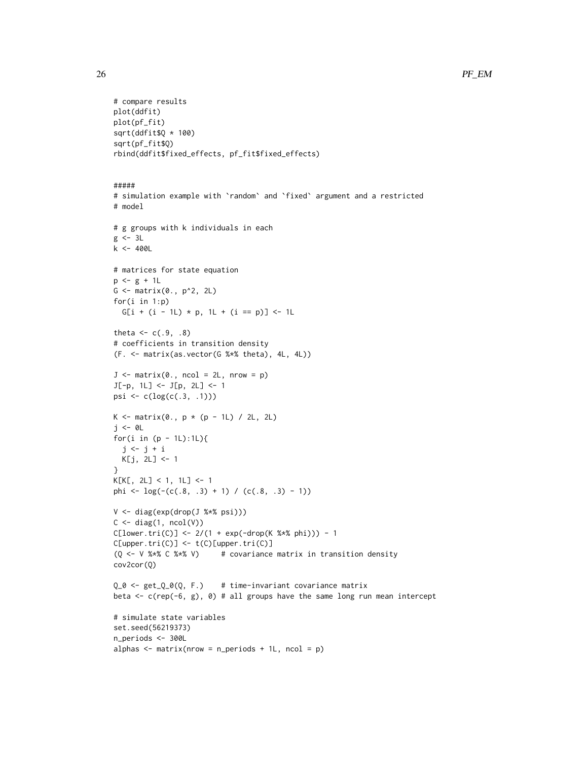```
# compare results
plot(ddfit)
plot(pf_fit)
sqrt(ddfit$Q * 100)
sqrt(pf_fit$Q)
rbind(ddfit$fixed_effects, pf_fit$fixed_effects)
#####
# simulation example with `random` and `fixed` argument and a restricted
# model
# g groups with k individuals in each
g \leftarrow 3Lk < -400L# matrices for state equation
p \leftarrow g + 1LG \leftarrow \text{matrix}(\emptyset., p^2, 2L)for(i in 1:p)
 G[i + (i - 1L) * p, 1L + (i == p)] \leftarrow 1Ltheta <-c(.9,.8)# coefficients in transition density
(F. <- matrix(as.vector(G %*% theta), 4L, 4L))
J \leq - matrix(0., ncol = 2L, nrow = p)
J[-p, 1L] <- J[p, 2L] <- 1
psi <- c(log(c(.3, .1)))
K <- matrix(0., p * (p - 1L) / 2L, 2L)
j <- 0L
for(i in (p - 1L):1L){
  j \leftarrow j + iK[j, 2L] <- 1
}
K[K[, 2L] < 1, 1L] <- 1
phi <- log(-(c(.8, .3) + 1) / (c(.8, .3) - 1))V <- diag(exp(drop(J %*% psi)))
C \leftarrow diag(1, ncol(V))C[lower.tri(C)] \leftarrow 2/(1 + exp(-drop(K %*)phi)) - 1C[upper.tri(C)] \leftarrow t(C)[upper.tri(C)](Q \leq -V \ * C \ \leq V \leq V \leq V (Q \leq -V \leq V \leq V \leq V)cov2cor(Q)
Q_0 <- get_Q_0(Q, F.) # time-invariant covariance matrix
beta <- c(rep(-6, g), 0) # all groups have the same long run mean intercept
# simulate state variables
set.seed(56219373)
n_periods <- 300L
alphas \leq matrix(nrow = n_periods + 1L, ncol = p)
```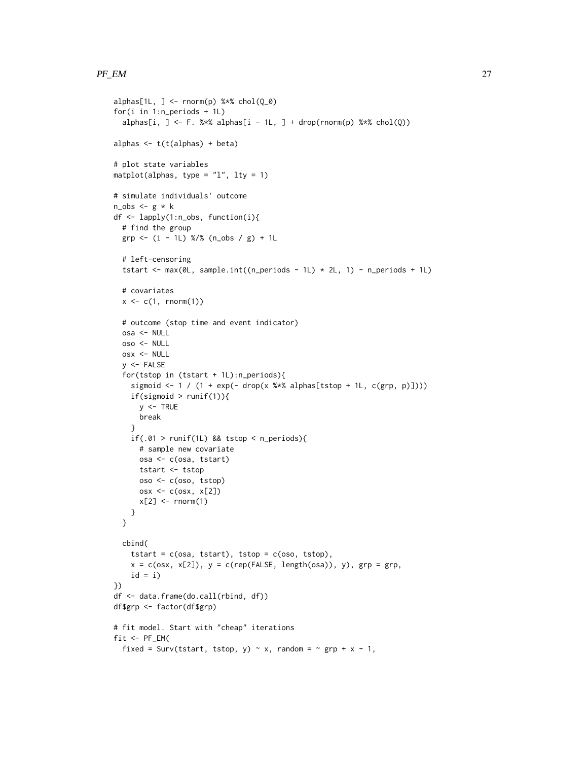```
alphas[1L, ] <- rnorm(p) %*% chol(Q_0)
for(i in 1:n_periods + 1L)
  alphas[i, ] <- F. %*% alphas[i - 1L, ] + drop(rnorm(p) %*% chol(Q))
alphas <- t(t(alphas) + beta)
# plot state variables
matplot(alphas, type = "l", lty = 1)# simulate individuals' outcome
n\_obs < - g * kdf <- lapply(1:n_obs, function(i){
  # find the group
  grp \leftarrow (i - 1L) % (n_obs / g) + 1L
  # left-censoring
  tstart <- max(0L, sample.int((n\_periods - 1L) * 2L, 1) - n\_periods + 1L)# covariates
  x \leq c(1, \text{norm}(1))# outcome (stop time and event indicator)
  osa <- NULL
  oso <- NULL
  osx <- NULL
  y <- FALSE
  for(tstop in (tstart + 1L):n_periods){
    sigmoid <- 1 / (1 + \exp(- \text{drop}(x \frac{8}{8}) \text{alpha}[\text{tstop} + 1 \text{L}, \text{c(grp, p)])))if(sigmoid > runif(1)){
     y \le - TRUE
      break
    }
    if(.01 > runif(1L) & 8 & tstop < n\_periods){
      # sample new covariate
      osa <- c(osa, tstart)
      tstart <- tstop
      oso <- c(oso, tstop)
      osx \leftarrow c(osx, x[2])x[2] <- rnorm(1)}
  }
  cbind(
    tstart = c(osa, tstart), tstop = c(oso, tstop),
    x = c(\cos x, x[2]), y = c(rep(FALEE, length(cos)), y), grp = grp,id = i)})
df <- data.frame(do.call(rbind, df))
df$grp <- factor(df$grp)
# fit model. Start with "cheap" iterations
fit <- PF\_EM(fixed = Surv(tstart, tstop, y) \sim x, random = \sim grp + x - 1,
```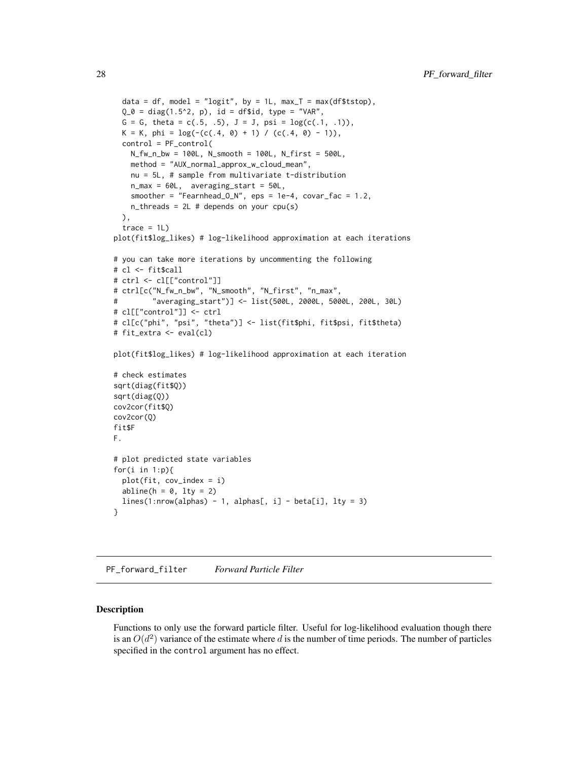```
data = df, model = "logit", by = 1L, max_T = max(df$tstop),
  Q_0 = diag(1.5^2, p), id = df$id, type = "VAR",
  G = G, theta = c(.5, .5), J = J, psi = log(c(.1, .1)),
  K = K, phi = log(-(c(.4, 0) + 1) / (c(.4, 0) - 1)),control = PF_control(
   N_fw_n_bw = 100L, N_smooth = 100L, N_first = 500L,
   method = "AUX_normal_approx_w_cloud_mean",
   nu = 5L, # sample from multivariate t-distribution
   n_max = 60L, averaging_start = 50L,
    smoother = "Fearnhead_O_N", eps = 1e-4, covar_fac = 1.2,
   n_{\text{th}} reads = 2L # depends on your cpu(s)
  ),
  trace = 1L)
plot(fit$log_likes) # log-likelihood approximation at each iterations
# you can take more iterations by uncommenting the following
# cl <- fit$call
# ctrl <- cl[["control"]]
# ctrl[c("N_fw_n_bw", "N_smooth", "N_first", "n_max",
# "averaging_start")] <- list(500L, 2000L, 5000L, 200L, 30L)
# cl[["control"]] <- ctrl
# cl[c("phi", "psi", "theta")] <- list(fit$phi, fit$psi, fit$theta)
# fit_extra <- eval(cl)
plot(fit$log_likes) # log-likelihood approximation at each iteration
# check estimates
sqrt(diag(fit$Q))
sqrt(diag(Q))
cov2cor(fit$Q)
cov2cor(Q)
fit$F
F.
# plot predicted state variables
for(i in 1:p){
  plot(fit, cov_index = i)
  abline(h = 0, lty = 2)lines(1:nvw(alpha) - 1, alphas[, i] - beta[i], lty = 3)}
```
<span id="page-27-1"></span>PF\_forward\_filter *Forward Particle Filter*

#### **Description**

Functions to only use the forward particle filter. Useful for log-likelihood evaluation though there is an  $O(d^2)$  variance of the estimate where d is the number of time periods. The number of particles specified in the control argument has no effect.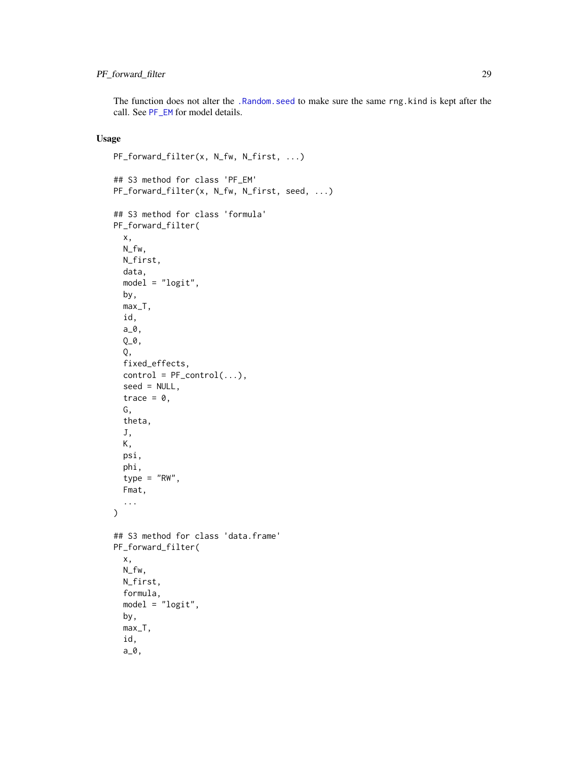### <span id="page-28-0"></span>PF\_forward\_filter 29

The function does not alter the [.Random.seed](#page-0-0) to make sure the same rng.kind is kept after the call. See [PF\\_EM](#page-21-1) for model details.

```
PF_forward_filter(x, N_fw, N_first, ...)
## S3 method for class 'PF_EM'
PF_forward_filter(x, N_fw, N_first, seed, ...)
## S3 method for class 'formula'
PF_forward_filter(
  x,
 N_fw,
 N_first,
 data,
 model = "logit",
 by,
 max_T,
  id,
  a_0,
  Q_-\varnothing ,
  Q,
  fixed_effects,
  control = PF\_control(...),seed = NULL,
  trace = 0,
  G,
  theta,
  J,
 K,
 psi,
 phi,
  type = "RW",Fmat,
  ...
\mathcal{E}## S3 method for class 'data.frame'
PF_forward_filter(
 x,
 N_fw,
 N_first,
  formula,
 model = "logit",by,
 max_T,
  id,
  a_0,
```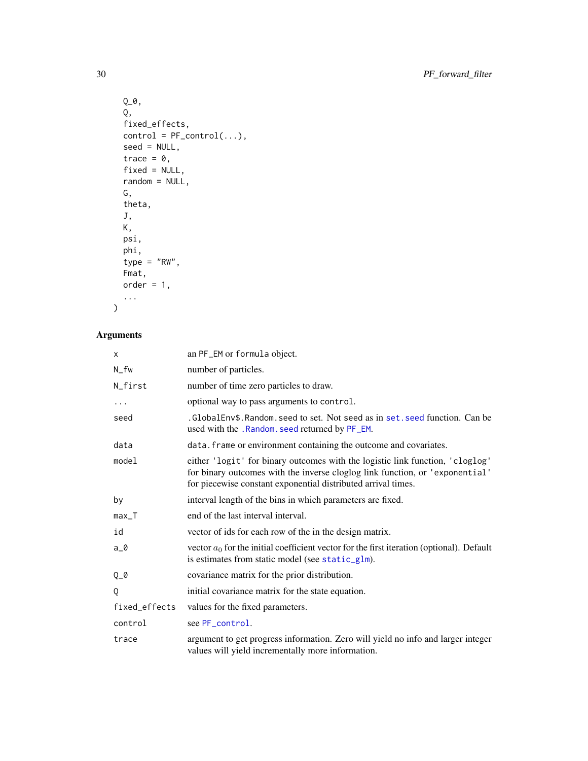```
Q_-\varnothing ,
  Q,
  fixed_effects,
  control = PF\_control(...),seed = NULL,
  trace = 0,
  fixed = NULL,
  random = NULL,
  G,
  theta,
  J,
  K,
  psi,
 phi,
 type = "RW",
  Fmat,
  order = 1,...
\mathcal{L}
```

| x             | an PF_EM or formula object.                                                                                                                                                                                                    |
|---------------|--------------------------------------------------------------------------------------------------------------------------------------------------------------------------------------------------------------------------------|
| N_fw          | number of particles.                                                                                                                                                                                                           |
| N_first       | number of time zero particles to draw.                                                                                                                                                                                         |
|               | optional way to pass arguments to control.                                                                                                                                                                                     |
| seed          | .GlobalEnv\$.Random.seed to set. Not seed as in set.seed function. Can be<br>used with the .Random. seed returned by PF_EM.                                                                                                    |
| data          | data. frame or environment containing the outcome and covariates.                                                                                                                                                              |
| model         | either 'logit' for binary outcomes with the logistic link function, 'cloglog'<br>for binary outcomes with the inverse cloglog link function, or 'exponential'<br>for piecewise constant exponential distributed arrival times. |
| by            | interval length of the bins in which parameters are fixed.                                                                                                                                                                     |
| $max_T$       | end of the last interval interval.                                                                                                                                                                                             |
| id            | vector of ids for each row of the in the design matrix.                                                                                                                                                                        |
| $a_0$         | vector $a_0$ for the initial coefficient vector for the first iteration (optional). Default<br>is estimates from static model (see static_glm).                                                                                |
| $Q_0$         | covariance matrix for the prior distribution.                                                                                                                                                                                  |
| Q             | initial covariance matrix for the state equation.                                                                                                                                                                              |
| fixed_effects | values for the fixed parameters.                                                                                                                                                                                               |
| control       | see PF_control.                                                                                                                                                                                                                |
| trace         | argument to get progress information. Zero will yield no info and larger integer<br>values will yield incrementally more information.                                                                                          |

<span id="page-29-0"></span>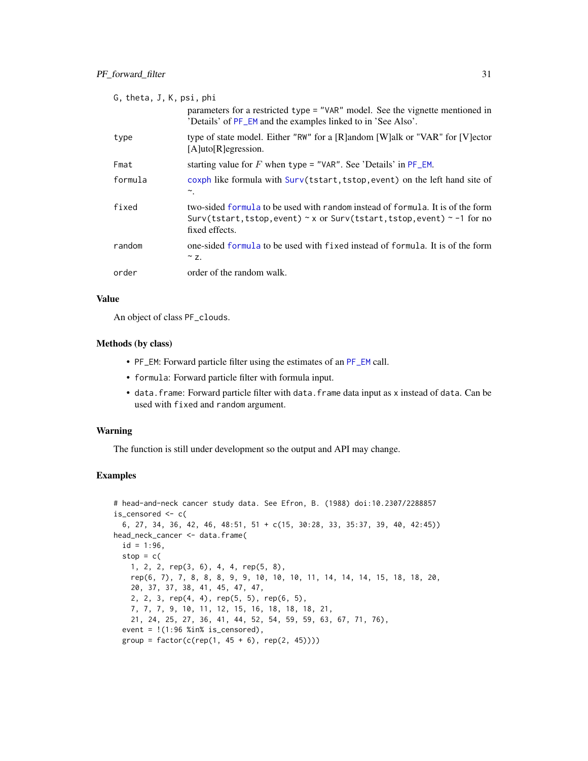<span id="page-30-0"></span>

| G, theta, J, K, psi, phi |                                                                                                                                                                                        |  |
|--------------------------|----------------------------------------------------------------------------------------------------------------------------------------------------------------------------------------|--|
|                          | parameters for a restricted type = "VAR" model. See the vignette mentioned in<br>'Details' of PF_EM and the examples linked to in 'See Also'.                                          |  |
| type                     | type of state model. Either "RW" for a [R]andom [W]alk or "VAR" for [V]ector<br>$[A]$ uto $[R]$ egression.                                                                             |  |
| Fmat                     | starting value for F when type = "VAR". See 'Details' in $PF\_EM$ .                                                                                                                    |  |
| formula                  | coxph like formula with Surv(tstart, tstop, event) on the left hand site of<br>∼.                                                                                                      |  |
| fixed                    | two-sided formula to be used with random instead of formula. It is of the form<br>Surv(tstart, tstop, event) $\sim$ x or Surv(tstart, tstop, event) $\sim$ -1 for no<br>fixed effects. |  |
| random                   | one-sided formula to be used with fixed instead of formula. It is of the form<br>$\sim$ z.                                                                                             |  |
| order                    | order of the random walk.                                                                                                                                                              |  |

#### Value

An object of class PF\_clouds.

### Methods (by class)

- PF\_EM: Forward particle filter using the estimates of an [PF\\_EM](#page-21-1) call.
- formula: Forward particle filter with formula input.
- data.frame: Forward particle filter with data.frame data input as x instead of data. Can be used with fixed and random argument.

#### Warning

The function is still under development so the output and API may change.

### Examples

```
# head-and-neck cancer study data. See Efron, B. (1988) doi:10.2307/2288857
is_censored <- c(
  6, 27, 34, 36, 42, 46, 48:51, 51 + c(15, 30:28, 33, 35:37, 39, 40, 42:45))
head_neck_cancer <- data.frame(
  id = 1:96,
  stop = c(1, 2, 2, rep(3, 6), 4, 4, rep(5, 8),
   rep(6, 7), 7, 8, 8, 8, 9, 9, 10, 10, 10, 11, 14, 14, 14, 15, 18, 18, 20,
   20, 37, 37, 38, 41, 45, 47, 47,
    2, 2, 3, rep(4, 4), rep(5, 5), rep(6, 5),
    7, 7, 7, 9, 10, 11, 12, 15, 16, 18, 18, 18, 21,
   21, 24, 25, 27, 36, 41, 44, 52, 54, 59, 59, 63, 67, 71, 76),
  event = !(1:96 %in% is_censored),group = factor(c(rep(1, 45 + 6), rep(2, 45))))
```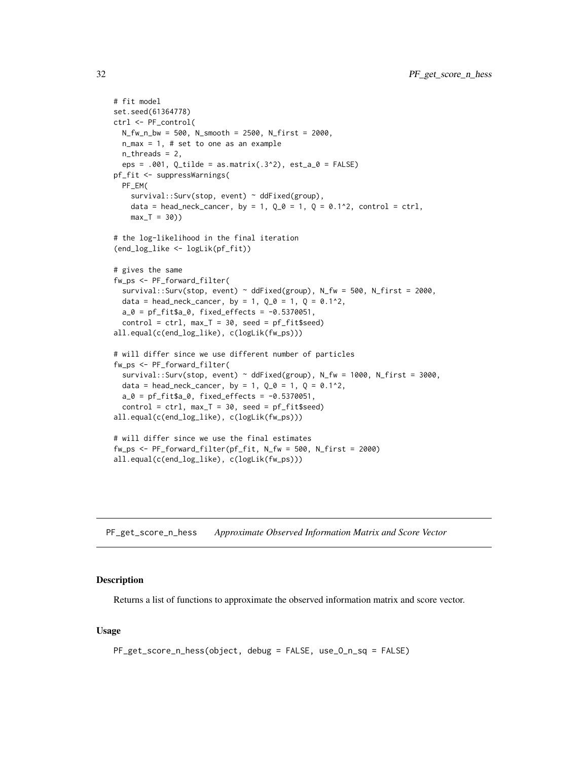```
# fit model
set.seed(61364778)
ctrl <- PF_control(
 N_fw_n_bw = 500, N_smooth = 2500, N_first = 2000,
  n_max = 1, # set to one as an example
  n_{th}reads = 2,
  eps = .001, Q_tilde = as.matrix(.3^2), est_a_0 = FALSE)
pf_fit <- suppressWarnings(
  PF_EM(
    survival::Surv(stop, event) ~ ddFixed(group),
    data = head_neck_cancer, by = 1, Q_0 = 1, Q = 0.1^2, control = ctrl,
    max_T = 30)# the log-likelihood in the final iteration
(end_log_like <- logLik(pf_fit))
# gives the same
fw_ps <- PF_forward_filter(
  survival::Surv(stop, event) \sim ddFixed(group), N_fw = 500, N_first = 2000,
  data = head_neck_cancer, by = 1, Q_0 = 1, Q = 0.1^2,
  a_0 = pf_fit$a_0, fixed_effects = -0.5370051,
  control = \text{ctrl}, \text{max}_{T} = 30, \text{ seed} = pf_{\text{fit}}all.equal(c(end_log_like), c(logLik(fw_ps)))
# will differ since we use different number of particles
fw_ps <- PF_forward_filter(
  survival::Surv(stop, event) ~ ddFixed(group), N_fw = 1000, N_first = 3000,
  data = head_neck_cancer, by = 1, Q_0 = 1, Q = 0.1^2,
  a_0 = pf_fit$a_0, fixed_effects = -0.5370051,
  control = \text{ctrl}, \text{max}_{T} = 30, \text{ seed} = pf_{f}it$seed)
all.equal(c(end_log_like), c(logLik(fw_ps)))
# will differ since we use the final estimates
fw_ps <- PF_forward_filter(pf_fit, N_fw = 500, N_first = 2000)
all.equal(c(end_log_like), c(logLik(fw_ps)))
```
PF\_get\_score\_n\_hess *Approximate Observed Information Matrix and Score Vector*

#### Description

Returns a list of functions to approximate the observed information matrix and score vector.

```
PF_get_score_n_hess(object, debug = FALSE, use_O_n_sq = FALSE)
```
<span id="page-31-0"></span>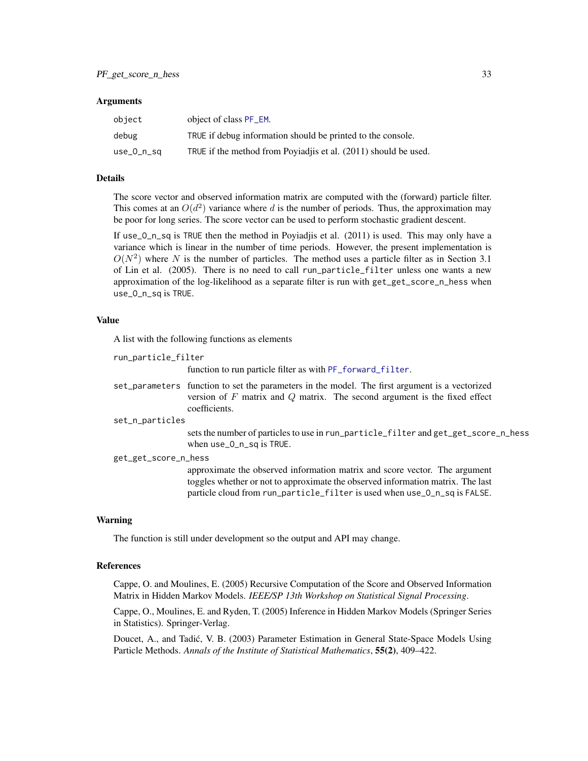#### <span id="page-32-0"></span>Arguments

| object     | object of class PF_EM.                                         |
|------------|----------------------------------------------------------------|
| debug      | TRUE if debug information should be printed to the console.    |
| use_0_n_sq | TRUE if the method from Poyiadis et al. (2011) should be used. |

#### Details

The score vector and observed information matrix are computed with the (forward) particle filter. This comes at an  $O(d^2)$  variance where d is the number of periods. Thus, the approximation may be poor for long series. The score vector can be used to perform stochastic gradient descent.

If use\_O\_n\_sq is TRUE then the method in Poyiadjis et al. (2011) is used. This may only have a variance which is linear in the number of time periods. However, the present implementation is  $O(N^2)$  where N is the number of particles. The method uses a particle filter as in Section 3.1 of Lin et al. (2005). There is no need to call run\_particle\_filter unless one wants a new approximation of the log-likelihood as a separate filter is run with get\_get\_score\_n\_hess when use\_O\_n\_sq is TRUE.

#### Value

A list with the following functions as elements

| run_particle_filter  |                                                                                                                                                                                                                                            |  |
|----------------------|--------------------------------------------------------------------------------------------------------------------------------------------------------------------------------------------------------------------------------------------|--|
|                      | function to run particle filter as with PF_forward_filter.                                                                                                                                                                                 |  |
|                      | set_parameters function to set the parameters in the model. The first argument is a vectorized<br>version of $F$ matrix and $Q$ matrix. The second argument is the fixed effect<br>coefficients.                                           |  |
| set_n_particles      |                                                                                                                                                                                                                                            |  |
|                      | sets the number of particles to use in run_particle_filter and get_get_score_n_hess<br>when use_0_n_sq is TRUE.                                                                                                                            |  |
| get_get_score_n_hess |                                                                                                                                                                                                                                            |  |
|                      | approximate the observed information matrix and score vector. The argument<br>toggles whether or not to approximate the observed information matrix. The last<br>particle cloud from run particle filter is used when use 0 n sq is FALSE. |  |

#### Warning

The function is still under development so the output and API may change.

#### References

Cappe, O. and Moulines, E. (2005) Recursive Computation of the Score and Observed Information Matrix in Hidden Markov Models. *IEEE/SP 13th Workshop on Statistical Signal Processing*.

Cappe, O., Moulines, E. and Ryden, T. (2005) Inference in Hidden Markov Models (Springer Series in Statistics). Springer-Verlag.

Doucet, A., and Tadic, V. B. (2003) Parameter Estimation in General State-Space Models Using ´ Particle Methods. *Annals of the Institute of Statistical Mathematics*, 55(2), 409–422.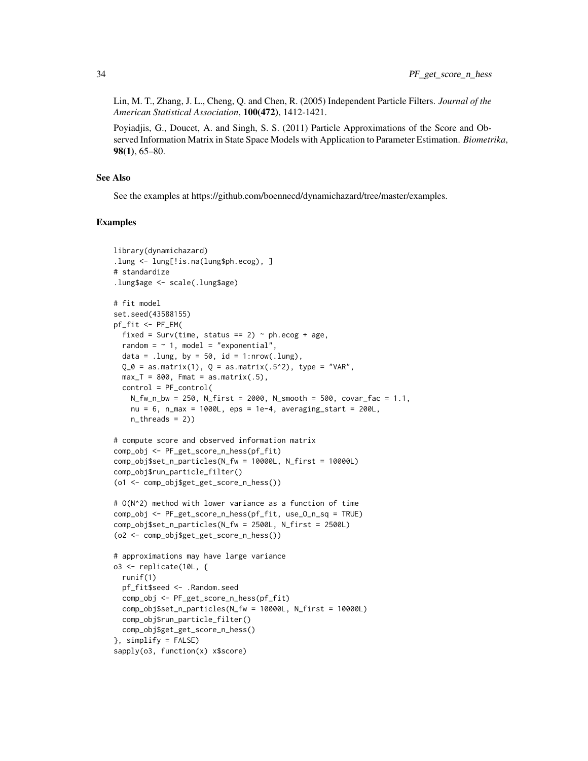Lin, M. T., Zhang, J. L., Cheng, Q. and Chen, R. (2005) Independent Particle Filters. *Journal of the American Statistical Association*, 100(472), 1412-1421.

Poyiadjis, G., Doucet, A. and Singh, S. S. (2011) Particle Approximations of the Score and Observed Information Matrix in State Space Models with Application to Parameter Estimation. *Biometrika*, 98(1), 65–80.

#### See Also

See the examples at https://github.com/boennecd/dynamichazard/tree/master/examples.

#### Examples

```
library(dynamichazard)
.lung <- lung[!is.na(lung$ph.ecog), ]
# standardize
.lung$age <- scale(.lung$age)
# fit model
set.seed(43588155)
pf_fit <- PF_EM(
 fixed = Surv(time, status == 2) \sim ph.ecog + age,
 random = \sim 1, model = "exponential",
 data = .lung, by = 50, id = 1:nrow(.lung),
 Q_0 = as_matrix(1), Q = as_matrix(.5^2), type = "VAR",max_T = 800, Fmat = as.matrix(.5),
 control = PF_control(
   N_fw_n_bw = 250, N_first = 2000, N_smooth = 500, covar_fac = 1.1,
   nu = 6, n_max = 1000L, eps = 1e-4, averaging_start = 200L,
   n_{th}reads = 2))
# compute score and observed information matrix
comp_obj <- PF_get_score_n_hess(pf_fit)
comp_obj$set_n_particles(N_fw = 10000L, N_first = 10000L)
comp_obj$run_particle_filter()
(o1 <- comp_obj$get_get_score_n_hess())
# O(N^2) method with lower variance as a function of time
comp_obj <- PF_get_score_n_hess(pf_fit, use_O_n_sq = TRUE)
comp_obj$set_n_particles(N_fw = 2500L, N_first = 2500L)
(o2 <- comp_obj$get_get_score_n_hess())
# approximations may have large variance
o3 <- replicate(10L, {
 runif(1)
 pf_fit$seed <- .Random.seed
 comp_obj <- PF_get_score_n_hess(pf_fit)
 comp_obj$set_n_particles(N_fw = 10000L, N_first = 10000L)
 comp_obj$run_particle_filter()
 comp_obj$get_get_score_n_hess()
}, simplify = FALSE)
sapply(o3, function(x) x$score)
```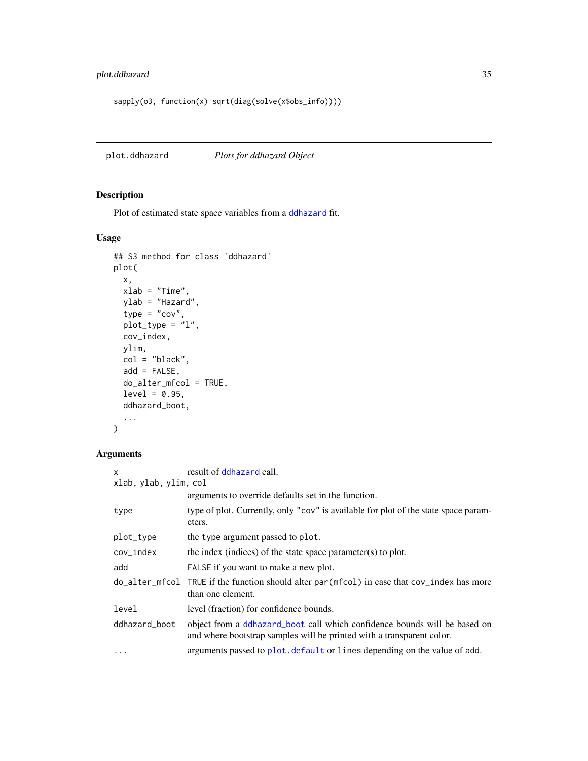### <span id="page-34-0"></span>plot.ddhazard 35

```
sapply(o3, function(x) sqrt(diag(solve(x$obs_info))))
```
<span id="page-34-1"></span>plot.ddhazard *Plots for ddhazard Object*

### Description

Plot of estimated state space variables from a [ddhazard](#page-3-1) fit.

### Usage

```
## S3 method for class 'ddhazard'
plot(
 x,
 xlab = "Time",
 ylab = "Hazard",
  type = "cov",plot_type = "l",
 cov_index,
 ylim,
 col = "black",add = FALSE,do_alter_mfcol = TRUE,
 level = 0.95,ddhazard_boot,
  ...
\mathcal{L}
```

| $\mathsf{x}$          | result of ddhazard call.                                                                                                                           |  |
|-----------------------|----------------------------------------------------------------------------------------------------------------------------------------------------|--|
| xlab, ylab, ylim, col |                                                                                                                                                    |  |
|                       | arguments to override defaults set in the function.                                                                                                |  |
| type                  | type of plot. Currently, only "cov" is available for plot of the state space param-<br>eters.                                                      |  |
| plot_type             | the type argument passed to plot.                                                                                                                  |  |
| $cov_index$           | the index (indices) of the state space parameter(s) to plot.                                                                                       |  |
| add                   | FALSE if you want to make a new plot.                                                                                                              |  |
|                       | do_alter_mfcol TRUE if the function should alter par (mfcol) in case that cov_index has more<br>than one element.                                  |  |
| level                 | level (fraction) for confidence bounds.                                                                                                            |  |
| ddhazard_boot         | object from a ddhazard_boot call which confidence bounds will be based on<br>and where bootstrap samples will be printed with a transparent color. |  |
| $\ddots$ .            | arguments passed to plot. default or lines depending on the value of add.                                                                          |  |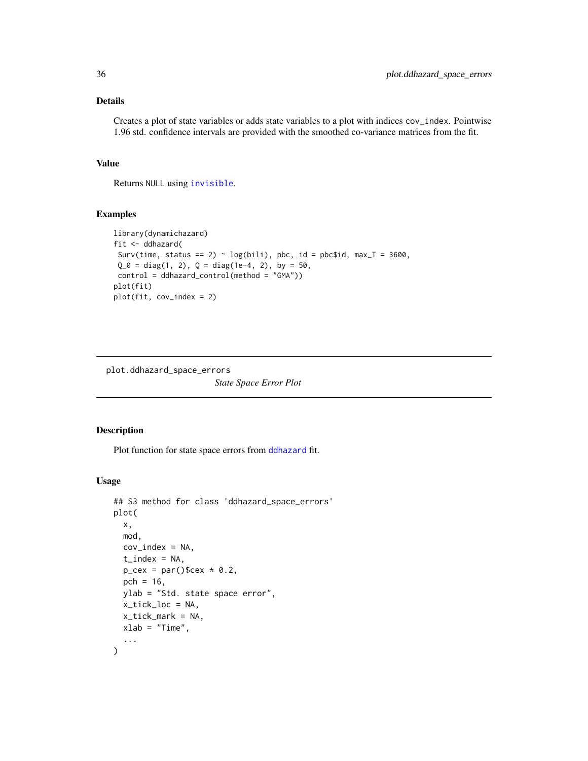### <span id="page-35-0"></span>Details

Creates a plot of state variables or adds state variables to a plot with indices cov\_index. Pointwise 1.96 std. confidence intervals are provided with the smoothed co-variance matrices from the fit.

### Value

Returns NULL using [invisible](#page-0-0).

#### Examples

```
library(dynamichazard)
fit <- ddhazard(
 Surv(time, status == 2) ~ log(bili), pbc, id = pbc$id, max_T = 3600,
 Q_0 = diag(1, 2), Q = diag(1e-4, 2), by = 50,control = ddhazard_control(method = "GMA"))
plot(fit)
plot(fit, cov_index = 2)
```
plot.ddhazard\_space\_errors

*State Space Error Plot*

#### Description

Plot function for state space errors from [ddhazard](#page-3-1) fit.

```
## S3 method for class 'ddhazard_space_errors'
plot(
  x,
  mod,
  cov\_index = NA,
  t<sub>-</sub>index = NA,
  p_{\text{c}}ex = par()$cex * 0.2,
  pch = 16,
  ylab = "Std. state space error",
  x_tick_loc = NA,
  x_tick_mark = NA,
  xlab = "Time",
  ...
)
```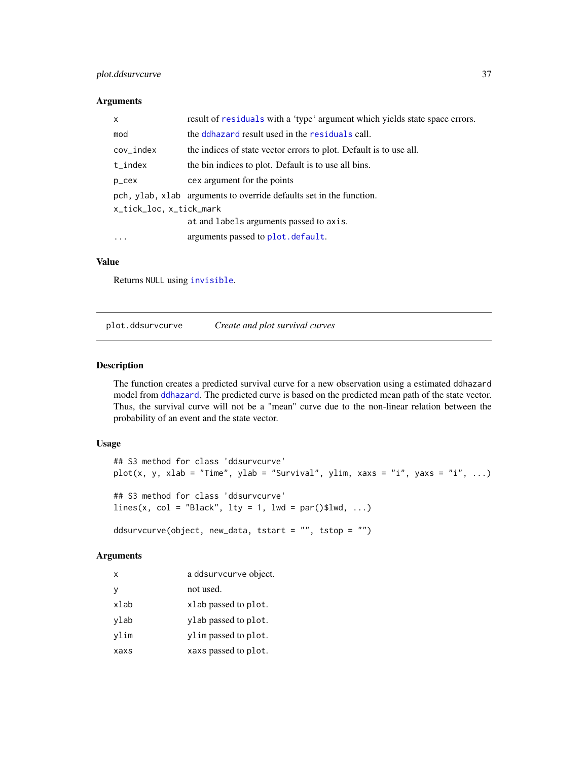### <span id="page-36-0"></span>plot.ddsurvcurve 37

#### Arguments

| $\mathsf{x}$            | result of residuals with a 'type' argument which yields state space errors. |  |
|-------------------------|-----------------------------------------------------------------------------|--|
| mod                     | the ddhazard result used in the residuals call.                             |  |
| $cov_index$             | the indices of state vector errors to plot. Default is to use all.          |  |
| $t_$ index              | the bin indices to plot. Default is to use all bins.                        |  |
| p_cex                   | cex argument for the points                                                 |  |
|                         | pch, ylab, xlab arguments to override defaults set in the function.         |  |
| x_tick_loc, x_tick_mark |                                                                             |  |
|                         | at and labels arguments passed to axis.                                     |  |
| $\ddotsc$               | arguments passed to plot. default.                                          |  |

#### Value

Returns NULL using [invisible](#page-0-0).

plot.ddsurvcurve *Create and plot survival curves*

### Description

The function creates a predicted survival curve for a new observation using a estimated ddhazard model from [ddhazard](#page-3-1). The predicted curve is based on the predicted mean path of the state vector. Thus, the survival curve will not be a "mean" curve due to the non-linear relation between the probability of an event and the state vector.

### Usage

```
## S3 method for class 'ddsurvcurve'
plot(x, y, xlab = "Time", ylab = "Survival", ylim, xaxs = "i", yaxs = "i", ...)
## S3 method for class 'ddsurvcurve'
lines(x, col = "Black", lty = 1, lwd = par()$lwd, ...)ddsurvcurve(object, new_data, tstart = "", tstop = "")
```

| x    | a ddsurvcurve object. |
|------|-----------------------|
| v    | not used.             |
| xlab | xlab passed to plot.  |
| ylab | ylab passed to plot.  |
| vlim | ylimpassed to plot.   |
| xaxs | xaxs passed to plot.  |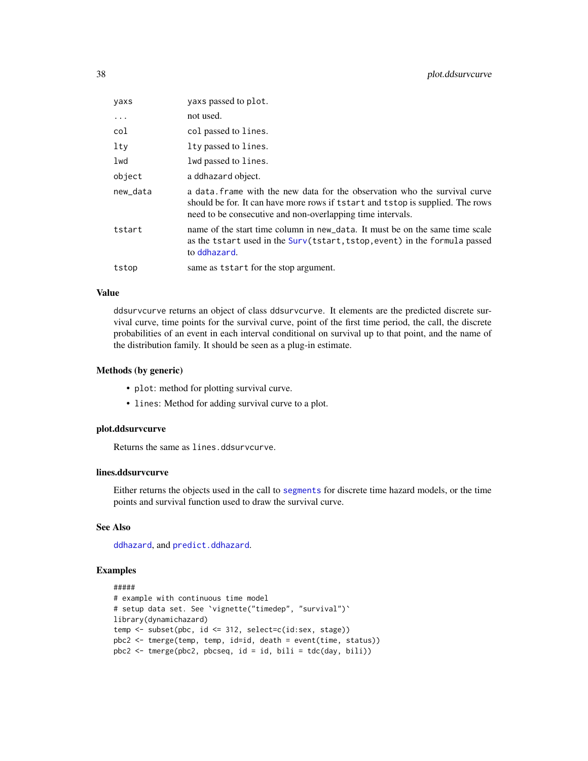<span id="page-37-0"></span>

| yaxs     | yaxs passed to plot.                                                                                                                                                                                                       |
|----------|----------------------------------------------------------------------------------------------------------------------------------------------------------------------------------------------------------------------------|
| $\ddots$ | not used.                                                                                                                                                                                                                  |
| col      | col passed to lines.                                                                                                                                                                                                       |
| $1$ ty   | lty passed to lines.                                                                                                                                                                                                       |
| lwd      | lwd passed to lines.                                                                                                                                                                                                       |
| object   | a ddhazard object.                                                                                                                                                                                                         |
| new_data | a data, frame with the new data for the observation who the survival curve<br>should be for. It can have more rows if tstart and tstop is supplied. The rows<br>need to be consecutive and non-overlapping time intervals. |
| tstart   | name of the start time column in new data. It must be on the same time scale<br>as the tstart used in the Surv(tstart, tstop, event) in the formula passed<br>to ddhazard.                                                 |
| tstop    | same as tstart for the stop argument.                                                                                                                                                                                      |

### Value

ddsurvcurve returns an object of class ddsurvcurve. It elements are the predicted discrete survival curve, time points for the survival curve, point of the first time period, the call, the discrete probabilities of an event in each interval conditional on survival up to that point, and the name of the distribution family. It should be seen as a plug-in estimate.

#### Methods (by generic)

- plot: method for plotting survival curve.
- lines: Method for adding survival curve to a plot.

#### plot.ddsurvcurve

Returns the same as lines.ddsurvcurve.

### lines.ddsurvcurve

Either returns the objects used in the call to [segments](#page-0-0) for discrete time hazard models, or the time points and survival function used to draw the survival curve.

#### See Also

[ddhazard](#page-3-1), and [predict.ddhazard](#page-41-1).

#### Examples

```
#####
# example with continuous time model
# setup data set. See `vignette("timedep", "survival")`
library(dynamichazard)
temp <- subset(pbc, id <= 312, select=c(id:sex, stage))
pbc2 <- tmerge(temp, temp, id=id, death = event(time, status))
pbc2 <- tmerge(pbc2, pbcseq, id = id, bili = tdc(day, bili))
```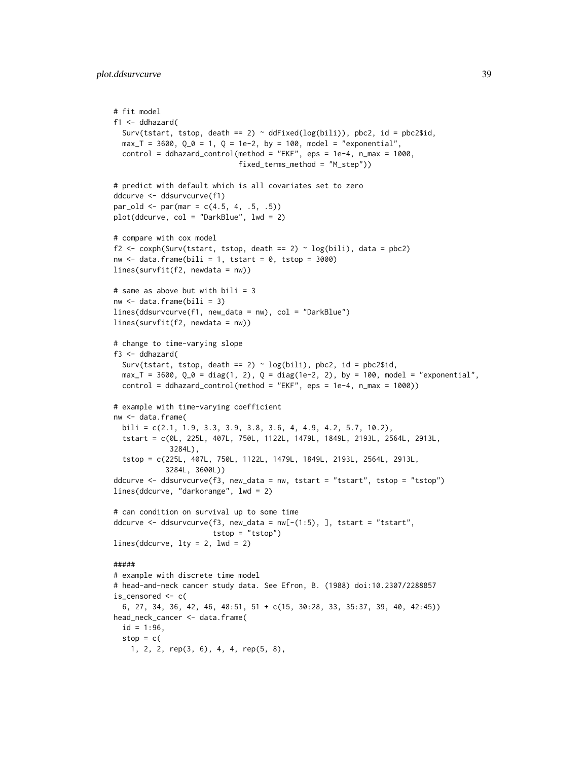```
# fit model
f1 <- ddhazard(
 Surv(tstart, tstop, death == 2) \sim ddFixed(log(bili)), pbc2, id = pbc2$id,
  max_T = 3600, Q_0 = 1, Q = 1e-2, by = 100, model = "exponential",
  control = ddhazard_control(method = "EKF", eps = 1e-4, n_max = 1000,
                             fixed_terms_method = "M_step"))
# predict with default which is all covariates set to zero
ddcurve <- ddsurvcurve(f1)
par\_old \leq par(max = c(4.5, 4, .5, .5))plot(ddcurve, col = "DarkBlue", lwd = 2)
# compare with cox model
f2 <- coxph(Surv(tstart, tstop, death == 2) ~ log(bili), data = pbc2)
nw \le data.frame(bili = 1, tstart = 0, tstop = 3000)
lines(survfit(f2, newdata = nw))
# same as above but with bili = 3
nw < - data.frame(bili = 3)
lines(ddsurvcurve(f1, new_data = nw), col = "DarkBlue")
lines(survfit(f2, newdata = nw))
# change to time-varying slope
f3 <- ddhazard(
  Surv(tstart, tstop, death == 2) \sim log(bili), pbc2, id = pbc2$id,
  max<sub>-</sub>T = 3600, Q_0 = diag(1, 2), Q = diag(1e-2, 2), by = 100, model = "exponential",control = ddhazard_countol(method = "EKF", ops = 1e-4, n_max = 1000))# example with time-varying coefficient
nw <- data.frame(
 bili = c(2.1, 1.9, 3.3, 3.9, 3.8, 3.6, 4, 4.9, 4.2, 5.7, 10.2),
  tstart = c(0L, 225L, 407L, 750L, 1122L, 1479L, 1849L, 2193L, 2564L, 2913L,
             3284L),
  tstop = c(225L, 407L, 750L, 1122L, 1479L, 1849L, 2193L, 2564L, 2913L,
            3284L, 3600L))
ddcurve <- ddsurvcurve(f3, new_data = nw, tstart = "tstart", tstop = "tstop")
lines(ddcurve, "darkorange", lwd = 2)
# can condition on survival up to some time
ddcurve <- ddsurvcurve(f3, new_data = nw[-(1:5), ], tstart = "tstart",
                       tstop = "tstop")
lines(ddcurve, lty = 2, lwd = 2)
#####
# example with discrete time model
# head-and-neck cancer study data. See Efron, B. (1988) doi:10.2307/2288857
is_censored <- c(
  6, 27, 34, 36, 42, 46, 48:51, 51 + c(15, 30:28, 33, 35:37, 39, 40, 42:45))
head_neck_cancer <- data.frame(
  id = 1:96,
  stop = c(1, 2, 2, rep(3, 6), 4, 4, rep(5, 8),
```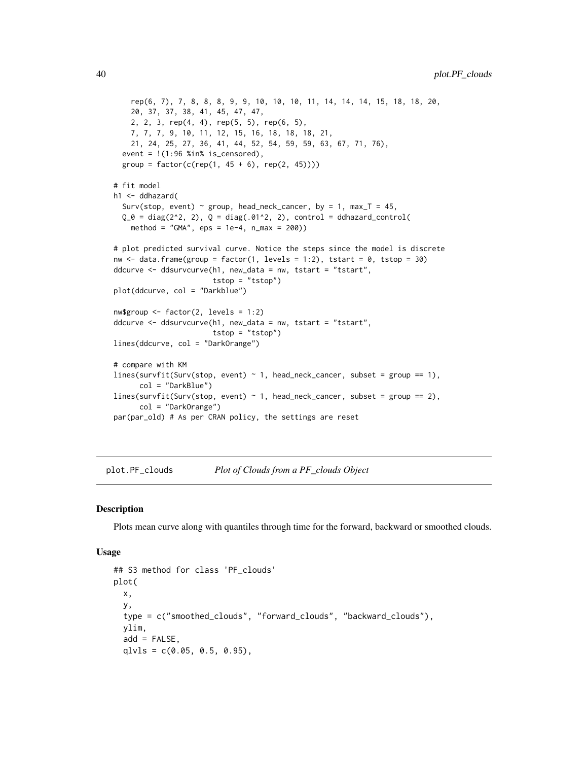```
rep(6, 7), 7, 8, 8, 8, 9, 9, 10, 10, 10, 11, 14, 14, 14, 15, 18, 18, 20,
   20, 37, 37, 38, 41, 45, 47, 47,
   2, 2, 3, rep(4, 4), rep(5, 5), rep(6, 5),
   7, 7, 7, 9, 10, 11, 12, 15, 16, 18, 18, 18, 21,
   21, 24, 25, 27, 36, 41, 44, 52, 54, 59, 59, 63, 67, 71, 76),
 event = !(1:96 %in% is_censored),group = factor(c(rep(1, 45 + 6), rep(2, 45))))# fit model
h1 <- ddhazard(
 Surv(stop, event) ~ group, head_neck_cancer, by = 1, max_T = 45,
 Q_0 = diag(2^2, 2), Q = diag(.01^2, 2), control = ddhazard_countolmethod = "GMA", eps = 1e-4, n_max = 200)# plot predicted survival curve. Notice the steps since the model is discrete
nw \le data.frame(group = factor(1, levels = 1:2), tstart = 0, tstop = 30)
ddcurve <- ddsurvcurve(h1, new_data = nw, tstart = "tstart",
                       tstop = "tstop")
plot(ddcurve, col = "Darkblue")
nw$group <- factor(2, levels = 1:2)
ddcurve <- ddsurvcurve(h1, new_data = nw, tstart = "tstart",
                       tstop = "tstop")
lines(ddcurve, col = "DarkOrange")
# compare with KM
lines(survfit(Surv(stop, event) \sim 1, head_neck_cancer, subset = group == 1),
      col = "DarkBlue")
lines(survfit(Surv(stop, event) ~ 1, head_neck_cancer, subset = group == 2),
     col = "DarkOrange")
par(par_old) # As per CRAN policy, the settings are reset
```
<span id="page-39-1"></span>plot.PF\_clouds *Plot of Clouds from a PF\_clouds Object*

#### Description

Plots mean curve along with quantiles through time for the forward, backward or smoothed clouds.

```
## S3 method for class 'PF_clouds'
plot(
  x,
  y,
  type = c("smoothed_clouds", "forward_clouds", "backward_clouds"),
  ylim,
  add = FALSE,
  qlvls = c(0.05, 0.5, 0.95),
```
<span id="page-39-0"></span>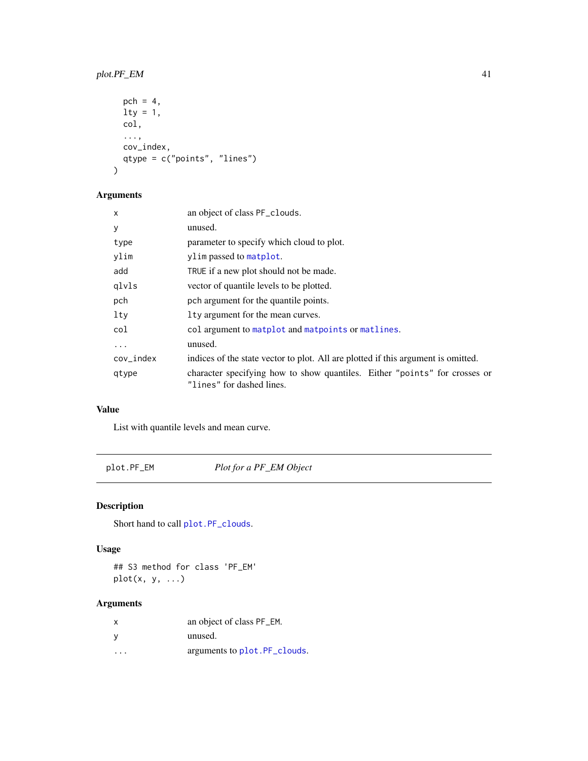### <span id="page-40-0"></span>plot.PF\_EM 41

```
pch = 4,
 1ty = 1,col,
  ...,
 cov_index,
 qtype = c("points", "lines")
\mathcal{E}
```
### Arguments

| $\mathsf{x}$ | an object of class PF_clouds.                                                                           |
|--------------|---------------------------------------------------------------------------------------------------------|
| y            | unused.                                                                                                 |
| type         | parameter to specify which cloud to plot.                                                               |
| ylim         | ylim passed to matplot.                                                                                 |
| add          | TRUE if a new plot should not be made.                                                                  |
| glvls        | vector of quantile levels to be plotted.                                                                |
| pch          | pch argument for the quantile points.                                                                   |
| lty          | Ity argument for the mean curves.                                                                       |
| col          | col argument to matplot and matpoints or matlines.                                                      |
| .            | unused.                                                                                                 |
| $cov_index$  | indices of the state vector to plot. All are plotted if this argument is omitted.                       |
| qtype        | character specifying how to show quantiles. Either "points" for crosses or<br>"lines" for dashed lines. |

### Value

List with quantile levels and mean curve.

plot.PF\_EM *Plot for a PF\_EM Object*

### Description

Short hand to call [plot.PF\\_clouds](#page-39-1).

### Usage

## S3 method for class 'PF\_EM' plot(x, y, ...)

| $\mathsf{x}$         | an object of class PF_EM.     |
|----------------------|-------------------------------|
| - V                  | unused.                       |
| $\ddot{\phantom{0}}$ | arguments to plot. PF clouds. |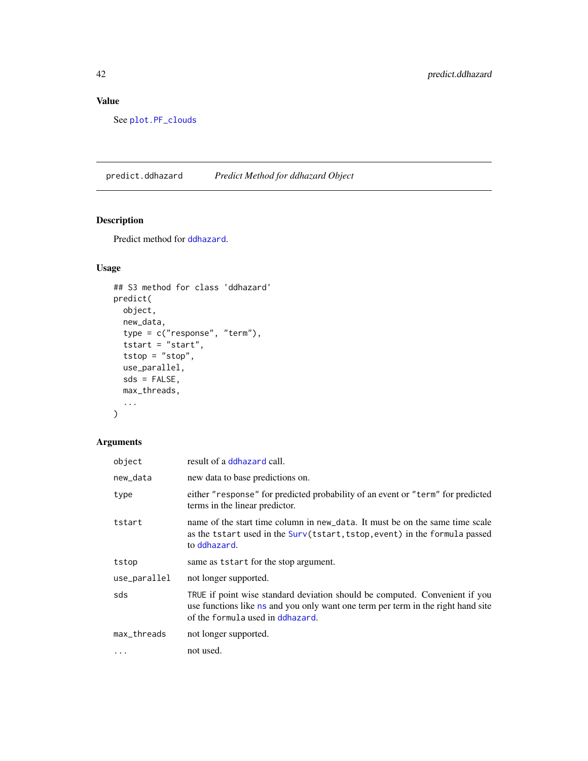### <span id="page-41-0"></span>Value

See [plot.PF\\_clouds](#page-39-1)

<span id="page-41-1"></span>predict.ddhazard *Predict Method for ddhazard Object*

### Description

Predict method for [ddhazard](#page-3-1).

### Usage

```
## S3 method for class 'ddhazard'
predict(
 object,
 new_data,
  type = c("response", "term"),
  tstart = "start",tstop = "stop",use_parallel,
 sds = FALSE,
 max_threads,
  ...
\mathcal{L}
```

| object       | result of a ddhazard call.                                                                                                                                                                          |
|--------------|-----------------------------------------------------------------------------------------------------------------------------------------------------------------------------------------------------|
| new_data     | new data to base predictions on.                                                                                                                                                                    |
| type         | either "response" for predicted probability of an event or "term" for predicted<br>terms in the linear predictor.                                                                                   |
| tstart       | name of the start time column in new data. It must be on the same time scale<br>as the tstart used in the Surv(tstart, tstop, event) in the formula passed<br>to ddhazard.                          |
| tstop        | same as tstart for the stop argument.                                                                                                                                                               |
| use_parallel | not longer supported.                                                                                                                                                                               |
| sds          | TRUE if point wise standard deviation should be computed. Convenient if you<br>use functions like ns and you only want one term per term in the right hand site<br>of the formula used in ddhazard. |
| max_threads  | not longer supported.                                                                                                                                                                               |
| $\ddots$     | not used.                                                                                                                                                                                           |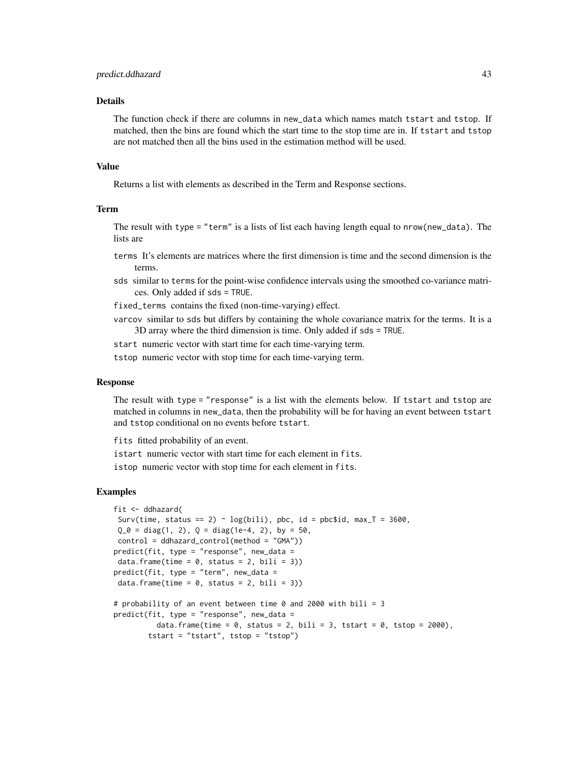#### Details

The function check if there are columns in new\_data which names match tstart and tstop. If matched, then the bins are found which the start time to the stop time are in. If tstart and tstop are not matched then all the bins used in the estimation method will be used.

#### Value

Returns a list with elements as described in the Term and Response sections.

#### Term

The result with type = "term" is a lists of list each having length equal to nrow(new\_data). The lists are

terms It's elements are matrices where the first dimension is time and the second dimension is the terms.

sds similar to terms for the point-wise confidence intervals using the smoothed co-variance matrices. Only added if sds = TRUE.

fixed\_terms contains the fixed (non-time-varying) effect.

varcov similar to sds but differs by containing the whole covariance matrix for the terms. It is a 3D array where the third dimension is time. Only added if sds = TRUE.

start numeric vector with start time for each time-varying term.

tstop numeric vector with stop time for each time-varying term.

#### Response

The result with type = "response" is a list with the elements below. If tstart and tstop are matched in columns in new\_data, then the probability will be for having an event between tstart and tstop conditional on no events before tstart.

fits fitted probability of an event.

istart numeric vector with start time for each element in fits.

istop numeric vector with stop time for each element in fits.

#### Examples

```
fit <- ddhazard(
Surv(time, status == 2) ~ log(bili), pbc, id = pbc$id, max_T = 3600,
 Q_0 = diag(1, 2), Q = diag(1e-4, 2), by = 50,control = ddhazard_control(method = "GMA"))
predict(fit, type = "response", new_data =
data.frame(time = 0, status = 2, bili = 3))
predict(fit, type = "term", new_data =
data.frame(time = 0, status = 2, bili = 3))
# probability of an event between time 0 and 2000 with bili = 3
predict(fit, type = "response", new_data =
         data.frame(time = 0, status = 2, bili = 3, tstart = 0, tstop = 2000),
       tstart = "tstart", tstop = "tstop")
```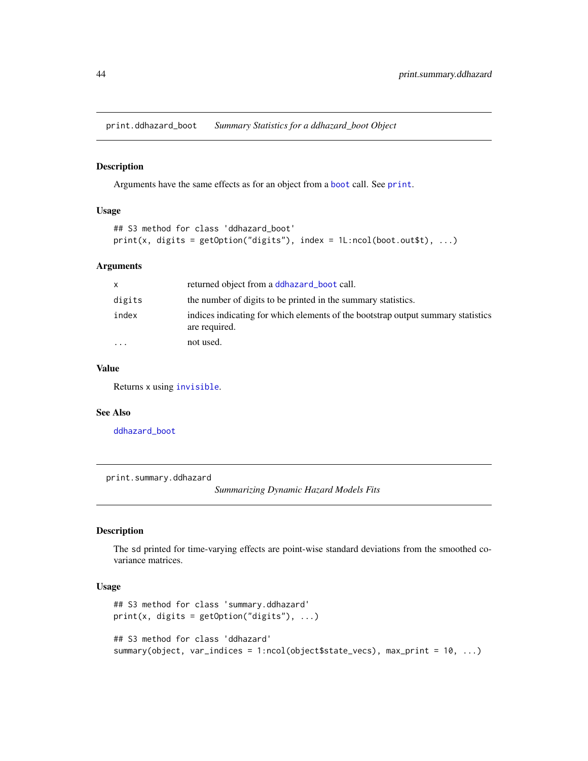<span id="page-43-0"></span>print.ddhazard\_boot *Summary Statistics for a ddhazard\_boot Object*

#### Description

Arguments have the same effects as for an object from a [boot](#page-0-0) call. See [print](#page-0-0).

#### Usage

```
## S3 method for class 'ddhazard_boot'
print(x, digits = getOption("digits"), index = 1L:ncol(boot.out $t), ...)
```
#### Arguments

| X        | returned object from a ddhazard_boot call.                                                        |
|----------|---------------------------------------------------------------------------------------------------|
| digits   | the number of digits to be printed in the summary statistics.                                     |
| index    | indices indicating for which elements of the bootstrap output summary statistics<br>are required. |
| $\cdots$ | not used.                                                                                         |

### Value

Returns x using [invisible](#page-0-0).

### See Also

[ddhazard\\_boot](#page-6-1)

print.summary.ddhazard

*Summarizing Dynamic Hazard Models Fits*

### Description

The sd printed for time-varying effects are point-wise standard deviations from the smoothed covariance matrices.

```
## S3 method for class 'summary.ddhazard'
print(x, \text{ digits} = getOption("digits"), ...)## S3 method for class 'ddhazard'
summary(object, var_indices = 1:ncol(object$state_vecs), max_print = 10, ...)
```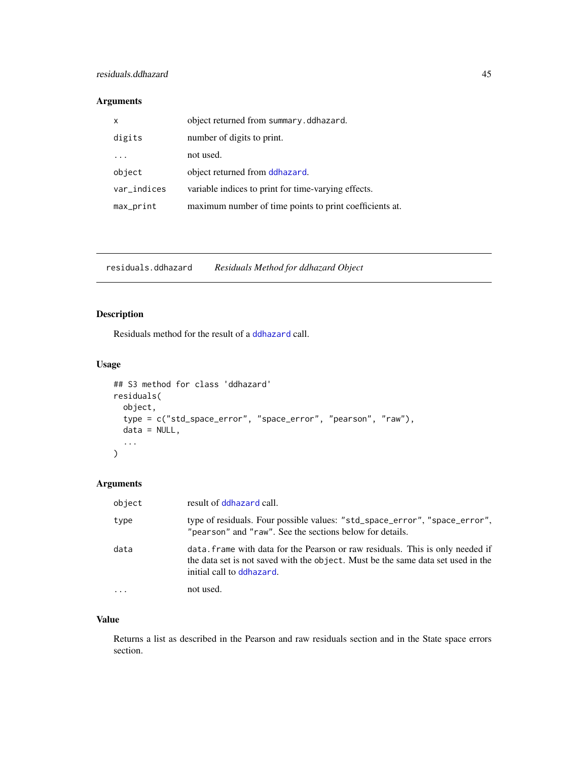### <span id="page-44-0"></span>Arguments

| $\mathsf{x}$ | object returned from summary.ddhazard.                  |
|--------------|---------------------------------------------------------|
| digits       | number of digits to print.                              |
|              | not used.                                               |
| object       | object returned from ddhazard.                          |
| var_indices  | variable indices to print for time-varying effects.     |
| max_print    | maximum number of time points to print coefficients at. |

<span id="page-44-1"></span>residuals.ddhazard *Residuals Method for ddhazard Object*

### Description

Residuals method for the result of a [ddhazard](#page-3-1) call.

### Usage

```
## S3 method for class 'ddhazard'
residuals(
 object,
 type = c("std_space_error", "space_error", "pearson", "raw"),
 data = NULL,...
)
```
### Arguments

| object | result of ddhazard call.                                                                                                                                                                        |
|--------|-------------------------------------------------------------------------------------------------------------------------------------------------------------------------------------------------|
| type   | type of residuals. Four possible values: "std_space_error", "space_error",<br>"pearson" and "raw". See the sections below for details.                                                          |
| data   | data. frame with data for the Pearson or raw residuals. This is only needed if<br>the data set is not saved with the object. Must be the same data set used in the<br>initial call to ddhazard. |
|        | not used.                                                                                                                                                                                       |

### Value

Returns a list as described in the Pearson and raw residuals section and in the State space errors section.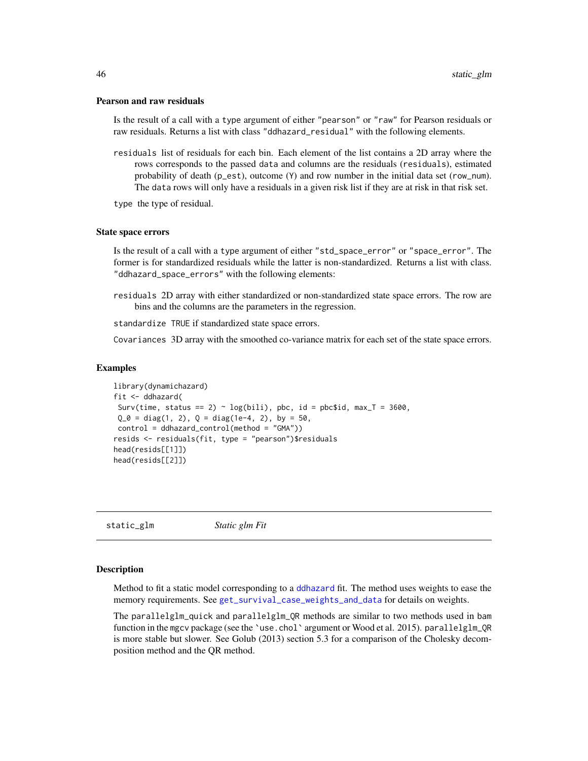#### <span id="page-45-0"></span>Pearson and raw residuals

Is the result of a call with a type argument of either "pearson" or "raw" for Pearson residuals or raw residuals. Returns a list with class "ddhazard\_residual" with the following elements.

residuals list of residuals for each bin. Each element of the list contains a 2D array where the rows corresponds to the passed data and columns are the residuals (residuals), estimated probability of death (p\_est), outcome (Y) and row number in the initial data set (row\_num). The data rows will only have a residuals in a given risk list if they are at risk in that risk set.

type the type of residual.

#### State space errors

Is the result of a call with a type argument of either "std\_space\_error" or "space\_error". The former is for standardized residuals while the latter is non-standardized. Returns a list with class. "ddhazard\_space\_errors" with the following elements:

residuals 2D array with either standardized or non-standardized state space errors. The row are bins and the columns are the parameters in the regression.

standardize TRUE if standardized state space errors.

Covariances 3D array with the smoothed co-variance matrix for each set of the state space errors.

#### Examples

```
library(dynamichazard)
fit <- ddhazard(
Surv(time, status == 2) \sim log(bili), pbc, id = pbc$id, max_T = 3600,
Q_0 = diag(1, 2), Q = diag(1e-4, 2), by = 50,control = ddhazard_control(method = "GMA"))
resids <- residuals(fit, type = "pearson")$residuals
head(resids[[1]])
head(resids[[2]])
```
<span id="page-45-1"></span>static\_glm *Static glm Fit*

#### Description

Method to fit a static model corresponding to a [ddhazard](#page-3-1) fit. The method uses weights to ease the memory requirements. See [get\\_survival\\_case\\_weights\\_and\\_data](#page-13-1) for details on weights.

The parallelglm\_quick and parallelglm\_QR methods are similar to two methods used in bam function in the mgcv package (see the 'use.chol' argument or Wood et al. 2015). parallelglm\_QR is more stable but slower. See Golub (2013) section 5.3 for a comparison of the Cholesky decomposition method and the QR method.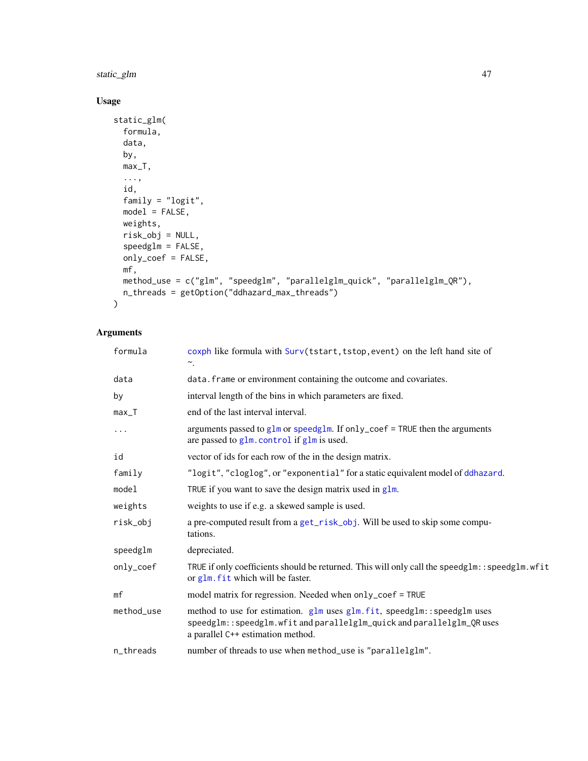<span id="page-46-0"></span>static\_glm 47

### Usage

```
static_glm(
 formula,
 data,
 by,
 max_T,
  ...,
 id,
 family = "logit",
 model = FALSE,weights,
 risk_obj = NULL,
  speedglm = FALSE,
 only_coef = FALSE,
 mf,
 method_use = c("glm", "speedglm", "parallelglm_quick", "parallelglm_QR"),
 n_threads = getOption("ddhazard_max_threads")
\mathcal{L}
```

| formula    | coxph like formula with Surv(tstart, tstop, event) on the left hand site of<br>$\sim$ .                                                                                                 |
|------------|-----------------------------------------------------------------------------------------------------------------------------------------------------------------------------------------|
| data       | data. frame or environment containing the outcome and covariates.                                                                                                                       |
| by         | interval length of the bins in which parameters are fixed.                                                                                                                              |
| $max_T$    | end of the last interval interval.                                                                                                                                                      |
| .          | arguments passed to $glm$ or speedglm. If only_coef = TRUE then the arguments<br>are passed to glm. control if glm is used.                                                             |
| id         | vector of ids for each row of the in the design matrix.                                                                                                                                 |
| family     | "logit", "cloglog", or "exponential" for a static equivalent model of ddhazard.                                                                                                         |
| model      | TRUE if you want to save the design matrix used in g1m.                                                                                                                                 |
| weights    | weights to use if e.g. a skewed sample is used.                                                                                                                                         |
| risk_obj   | a pre-computed result from a get_risk_obj. Will be used to skip some compu-<br>tations.                                                                                                 |
| speedglm   | depreciated.                                                                                                                                                                            |
| only_coef  | TRUE if only coefficients should be returned. This will only call the speedglm:: speedglm.wfit<br>or glm. fit which will be faster.                                                     |
| mf         | model matrix for regression. Needed when only_coef = TRUE                                                                                                                               |
| method_use | method to use for estimation. glm uses glm.fit, speedglm: : speedglm uses<br>speedglm::speedglm.wfit and parallelglm_quick and parallelglm_QR uses<br>a parallel C++ estimation method. |
| n_threads  | number of threads to use when method_use is "parallelglm".                                                                                                                              |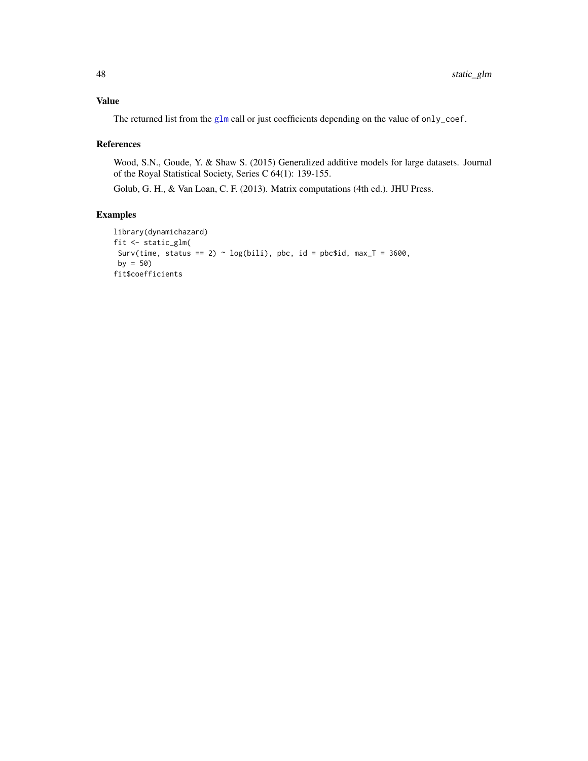<span id="page-47-0"></span>The returned list from the [glm](#page-0-0) call or just coefficients depending on the value of only\_coef.

#### References

Wood, S.N., Goude, Y. & Shaw S. (2015) Generalized additive models for large datasets. Journal of the Royal Statistical Society, Series C 64(1): 139-155.

Golub, G. H., & Van Loan, C. F. (2013). Matrix computations (4th ed.). JHU Press.

### Examples

```
library(dynamichazard)
fit <- static_glm(
Surv(time, status == 2) ~ log(bili), pbc, id = pbc$id, max_T = 3600,
by = 50)
fit$coefficients
```